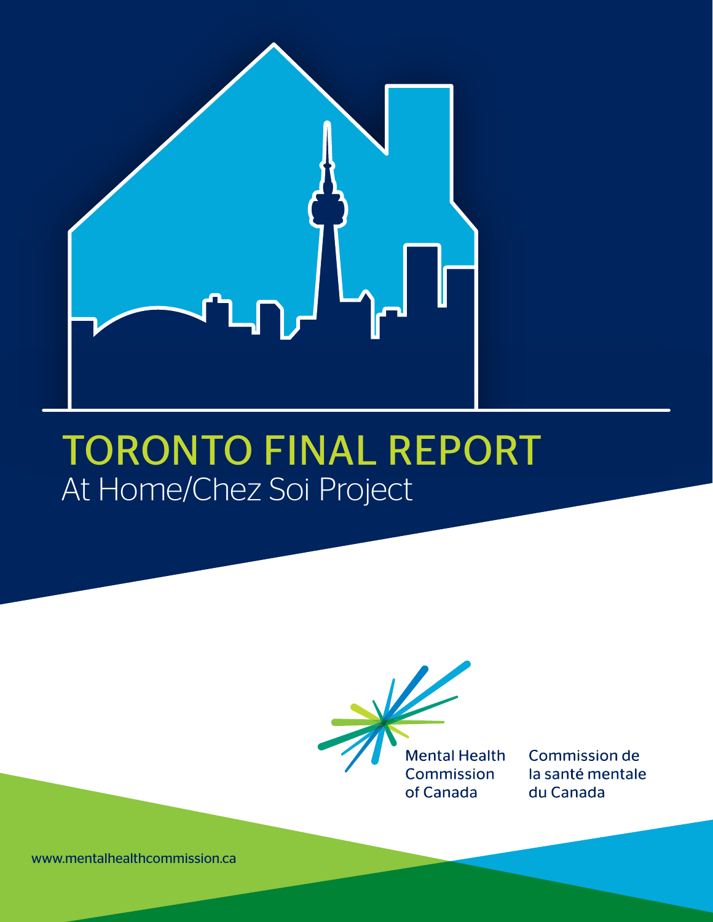

# TORONTO FINAL REPORT At Home/Chez Soi Project



**Commission de** la santé mentale du Canada

www.mentalhealthcommission.ca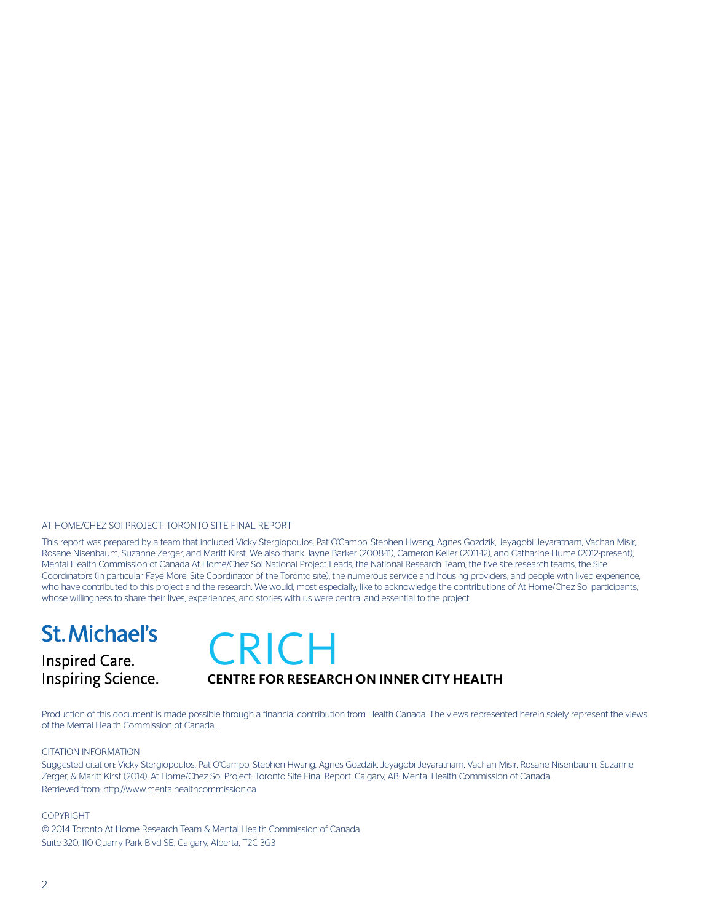#### AT HOME/CHEZ SOI PROJECT: TORONTO SITE FINAL REPORT

This report was prepared by a team that included Vicky Stergiopoulos, Pat O'Campo, Stephen Hwang, Agnes Gozdzik, Jeyagobi Jeyaratnam, Vachan Misir, Rosane Nisenbaum, Suzanne Zerger, and Maritt Kirst. We also thank Jayne Barker (2008-11), Cameron Keller (2011-12), and Catharine Hume (2012-present), Mental Health Commission of Canada At Home/Chez Soi National Project Leads, the National Research Team, the five site research teams, the Site Coordinators (in particular Faye More, Site Coordinator of the Toronto site), the numerous service and housing providers, and people with lived experience, who have contributed to this project and the research. We would, most especially, like to acknowledge the contributions of At Home/Chez Soi participants, whose willingness to share their lives, experiences, and stories with us were central and essential to the project.

### **St. Michael's**

Inspired Care. **Inspiring Science.** 

# **CRICH**

#### **CENTRE FOR RESEARCH ON INNER CITY HEALTH**

Production of this document is made possible through a financial contribution from Health Canada. The views represented herein solely represent the views of the Mental Health Commission of Canada. .

#### CITATION INFORMATION

Suggested citation: Vicky Stergiopoulos, Pat O'Campo, Stephen Hwang, Agnes Gozdzik, Jeyagobi Jeyaratnam, Vachan Misir, Rosane Nisenbaum, Suzanne Zerger, & Maritt Kirst (2014). At Home/Chez Soi Project: Toronto Site Final Report. Calgary, AB: Mental Health Commission of Canada. Retrieved from: http://www.mentalhealthcommission.ca

#### COPYRIGHT

© 2014 Toronto At Home Research Team & Mental Health Commission of Canada Suite 320, 110 Quarry Park Blvd SE, Calgary, Alberta, T2C 3G3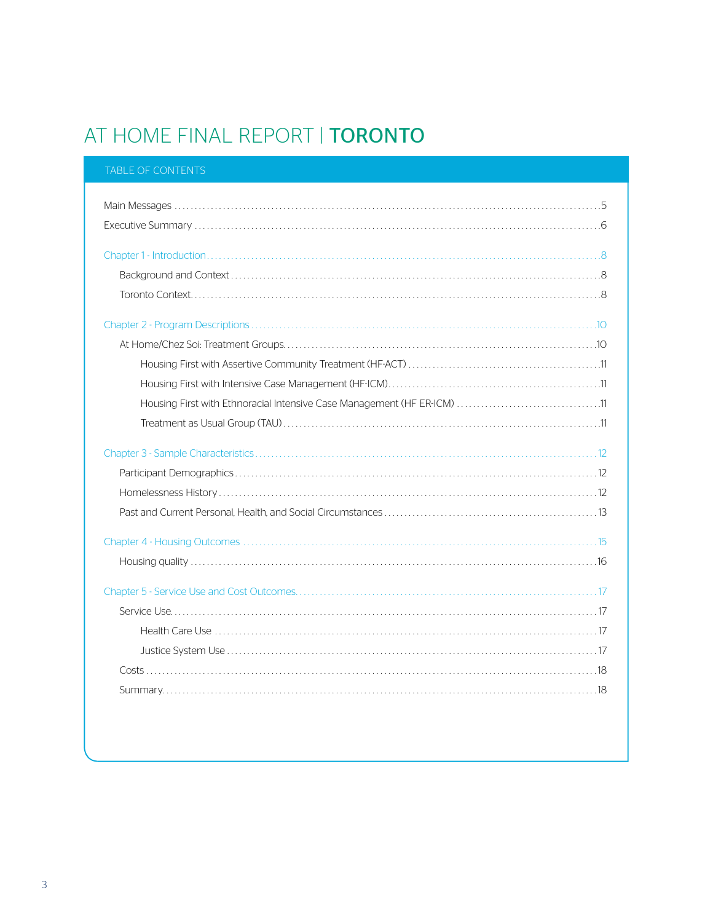### AT HOME FINAL REPORT | TORONTO

#### TABLE OF CONTENTS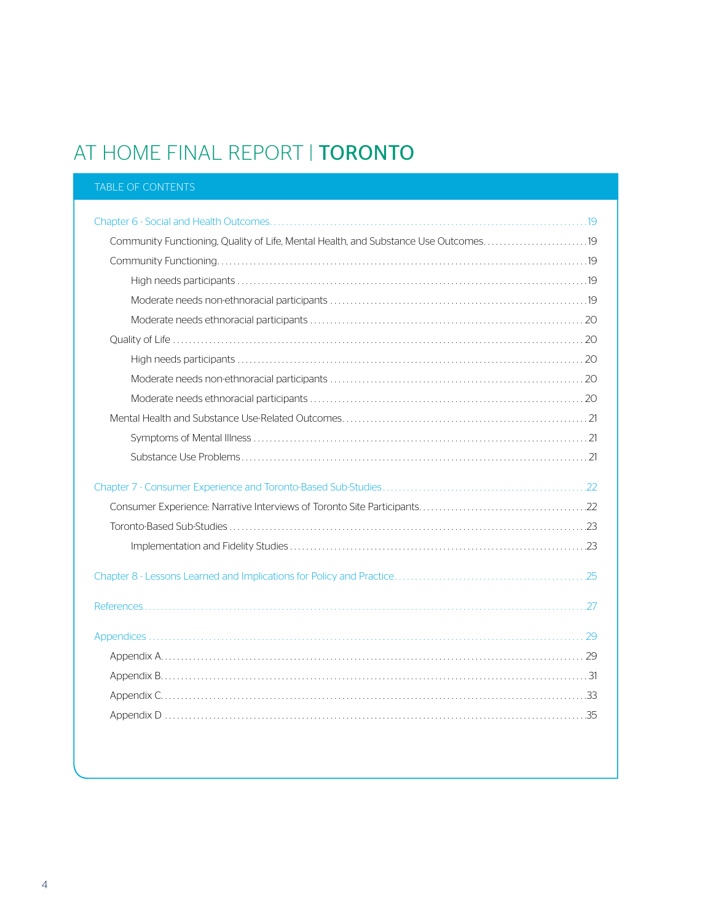### AT HOME FINAL REPORT | TORONTO

| <b>TABLE OF CONTENTS</b>                                                             |
|--------------------------------------------------------------------------------------|
|                                                                                      |
|                                                                                      |
| Community Functioning, Quality of Life, Mental Health, and Substance Use Outcomes 19 |
|                                                                                      |
|                                                                                      |
|                                                                                      |
|                                                                                      |
|                                                                                      |
|                                                                                      |
|                                                                                      |
|                                                                                      |
|                                                                                      |
|                                                                                      |
|                                                                                      |
|                                                                                      |
|                                                                                      |
|                                                                                      |
|                                                                                      |
|                                                                                      |
|                                                                                      |
|                                                                                      |
|                                                                                      |
|                                                                                      |
|                                                                                      |
|                                                                                      |
|                                                                                      |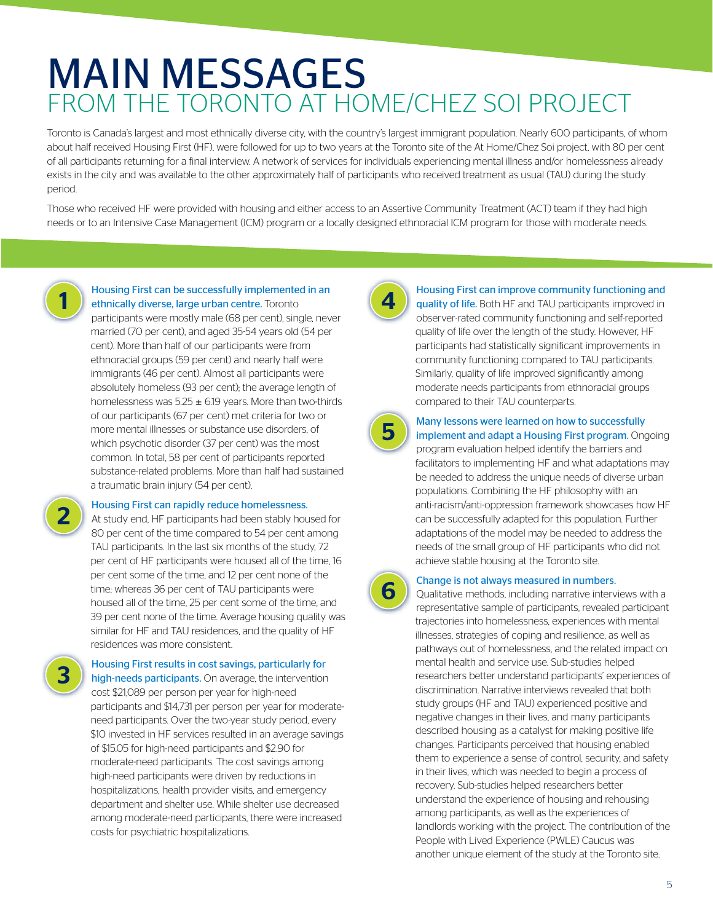## MAIN MESSAGES FROM THE TORONTO AT HOME/CHEZ SOI PROJECT

Toronto is Canada's largest and most ethnically diverse city, with the country's largest immigrant population. Nearly 600 participants, of whom about half received Housing First (HF), were followed for up to two years at the Toronto site of the At Home/Chez Soi project, with 80 per cent of all participants returning for a final interview. A network of services for individuals experiencing mental illness and/or homelessness already exists in the city and was available to the other approximately half of participants who received treatment as usual (TAU) during the study period.

Those who received HF were provided with housing and either access to an Assertive Community Treatment (ACT) team if they had high needs or to an Intensive Case Management (ICM) program or a locally designed ethnoracial ICM program for those with moderate needs.



### **1** Housing First can be successfully implemented in an ethnically diverse, large urban centre. Toronto

participants were mostly male (68 per cent), single, never married (70 per cent), and aged 35-54 years old (54 per cent). More than half of our participants were from ethnoracial groups (59 per cent) and nearly half were immigrants (46 per cent). Almost all participants were absolutely homeless (93 per cent); the average length of homelessness was  $5.25 \pm 6.19$  years. More than two-thirds of our participants (67 per cent) met criteria for two or more mental illnesses or substance use disorders, of which psychotic disorder (37 per cent) was the most common. In total, 58 per cent of participants reported substance-related problems. More than half had sustained a traumatic brain injury (54 per cent).



**2** Housing First can rapidly reduce homelessness.<br>At study end, HF participants had been stably house At study end, HF participants had been stably housed for 80 per cent of the time compared to 54 per cent among TAU participants. In the last six months of the study, 72 per cent of HF participants were housed all of the time, 16 per cent some of the time, and 12 per cent none of the time; whereas 36 per cent of TAU participants were housed all of the time, 25 per cent some of the time, and 39 per cent none of the time. Average housing quality was similar for HF and TAU residences, and the quality of HF residences was more consistent.

**3** Housing First results in cost savings, particularly for high-needs participants. On average, the intervention cost \$21,089 per person per year for high-need participants and \$14,731 per person per year for moderateneed participants. Over the two-year study period, every \$10 invested in HF services resulted in an average savings of \$15.05 for high-need participants and \$2.90 for moderate-need participants. The cost savings among high-need participants were driven by reductions in hospitalizations, health provider visits, and emergency department and shelter use. While shelter use decreased among moderate-need participants, there were increased costs for psychiatric hospitalizations.



**4** Housing First can improve community functioning and quality of life. Both HF and TAU participants improved in observer-rated community functioning and self-reported quality of life over the length of the study. However, HF participants had statistically significant improvements in community functioning compared to TAU participants. Similarly, quality of life improved significantly among moderate needs participants from ethnoracial groups compared to their TAU counterparts.



### **5** Many lessons were learned on how to successfully implement and adapt a Housing First program. Ongoing

program evaluation helped identify the barriers and facilitators to implementing HF and what adaptations may be needed to address the unique needs of diverse urban populations. Combining the HF philosophy with an anti-racism/anti-oppression framework showcases how HF can be successfully adapted for this population. Further adaptations of the model may be needed to address the needs of the small group of HF participants who did not achieve stable housing at the Toronto site.



**6** Change is not always measured in numbers.<br>
Qualitative methods, including narrative interviews with a representative sample of participants, revealed participant trajectories into homelessness, experiences with mental illnesses, strategies of coping and resilience, as well as pathways out of homelessness, and the related impact on mental health and service use. Sub-studies helped researchers better understand participants' experiences of discrimination. Narrative interviews revealed that both study groups (HF and TAU) experienced positive and negative changes in their lives, and many participants described housing as a catalyst for making positive life changes. Participants perceived that housing enabled them to experience a sense of control, security, and safety in their lives, which was needed to begin a process of recovery. Sub-studies helped researchers better understand the experience of housing and rehousing among participants, as well as the experiences of landlords working with the project. The contribution of the People with Lived Experience (PWLE) Caucus was another unique element of the study at the Toronto site.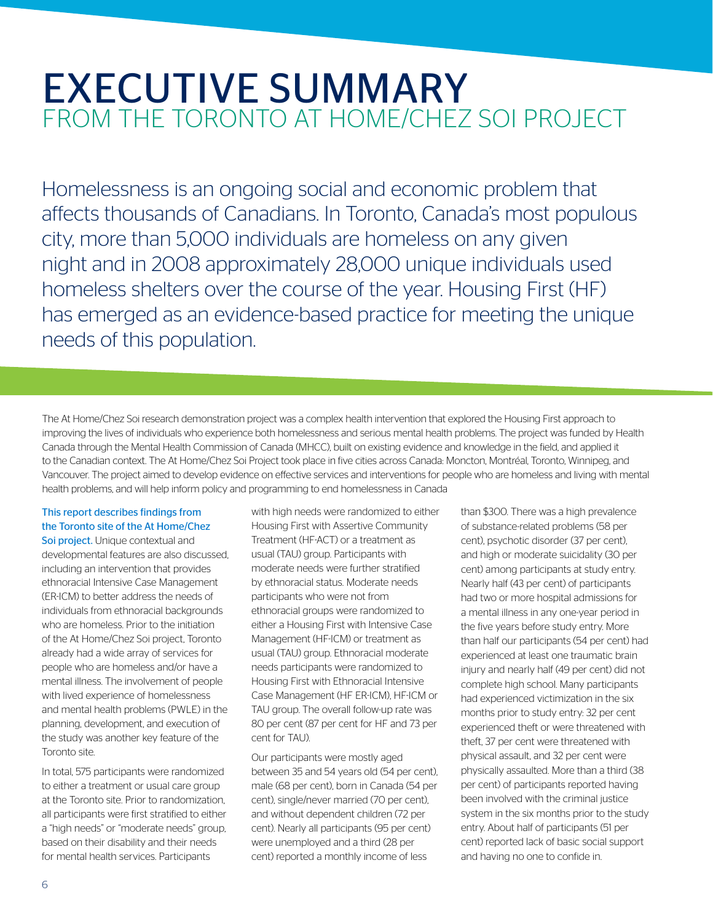### EXECUTIVE SUMMARY FROM THE TORONTO AT HOME/CHEZ SOI PROJECT

Homelessness is an ongoing social and economic problem that affects thousands of Canadians. In Toronto, Canada's most populous city, more than 5,000 individuals are homeless on any given night and in 2008 approximately 28,000 unique individuals used homeless shelters over the course of the year. Housing First (HF) has emerged as an evidence-based practice for meeting the unique needs of this population.

The At Home/Chez Soi research demonstration project was a complex health intervention that explored the Housing First approach to improving the lives of individuals who experience both homelessness and serious mental health problems. The project was funded by Health Canada through the Mental Health Commission of Canada (MHCC), built on existing evidence and knowledge in the field, and applied it to the Canadian context. The At Home/Chez Soi Project took place in five cities across Canada: Moncton, Montréal, Toronto, Winnipeg, and Vancouver. The project aimed to develop evidence on effective services and interventions for people who are homeless and living with mental health problems, and will help inform policy and programming to end homelessness in Canada

#### This report describes findings from the Toronto site of the At Home/Chez

Soi project. Unique contextual and developmental features are also discussed, including an intervention that provides ethnoracial Intensive Case Management (ER-ICM) to better address the needs of individuals from ethnoracial backgrounds who are homeless. Prior to the initiation of the At Home/Chez Soi project, Toronto already had a wide array of services for people who are homeless and/or have a mental illness. The involvement of people with lived experience of homelessness and mental health problems (PWLE) in the planning, development, and execution of the study was another key feature of the Toronto site.

In total, 575 participants were randomized to either a treatment or usual care group at the Toronto site. Prior to randomization, all participants were first stratified to either a "high needs" or "moderate needs" group, based on their disability and their needs for mental health services. Participants

with high needs were randomized to either Housing First with Assertive Community Treatment (HF-ACT) or a treatment as usual (TAU) group. Participants with moderate needs were further stratified by ethnoracial status. Moderate needs participants who were not from ethnoracial groups were randomized to either a Housing First with Intensive Case Management (HF-ICM) or treatment as usual (TAU) group. Ethnoracial moderate needs participants were randomized to Housing First with Ethnoracial Intensive Case Management (HF ER-ICM), HF-ICM or TAU group. The overall follow-up rate was 80 per cent (87 per cent for HF and 73 per cent for TAU).

Our participants were mostly aged between 35 and 54 years old (54 per cent), male (68 per cent), born in Canada (54 per cent), single/never married (70 per cent), and without dependent children (72 per cent). Nearly all participants (95 per cent) were unemployed and a third (28 per cent) reported a monthly income of less

than \$300. There was a high prevalence of substance-related problems (58 per cent), psychotic disorder (37 per cent), and high or moderate suicidality (30 per cent) among participants at study entry. Nearly half (43 per cent) of participants had two or more hospital admissions for a mental illness in any one-year period in the five years before study entry. More than half our participants (54 per cent) had experienced at least one traumatic brain injury and nearly half (49 per cent) did not complete high school. Many participants had experienced victimization in the six months prior to study entry: 32 per cent experienced theft or were threatened with theft, 37 per cent were threatened with physical assault, and 32 per cent were physically assaulted. More than a third (38 per cent) of participants reported having been involved with the criminal justice system in the six months prior to the study entry. About half of participants (51 per cent) reported lack of basic social support and having no one to confide in.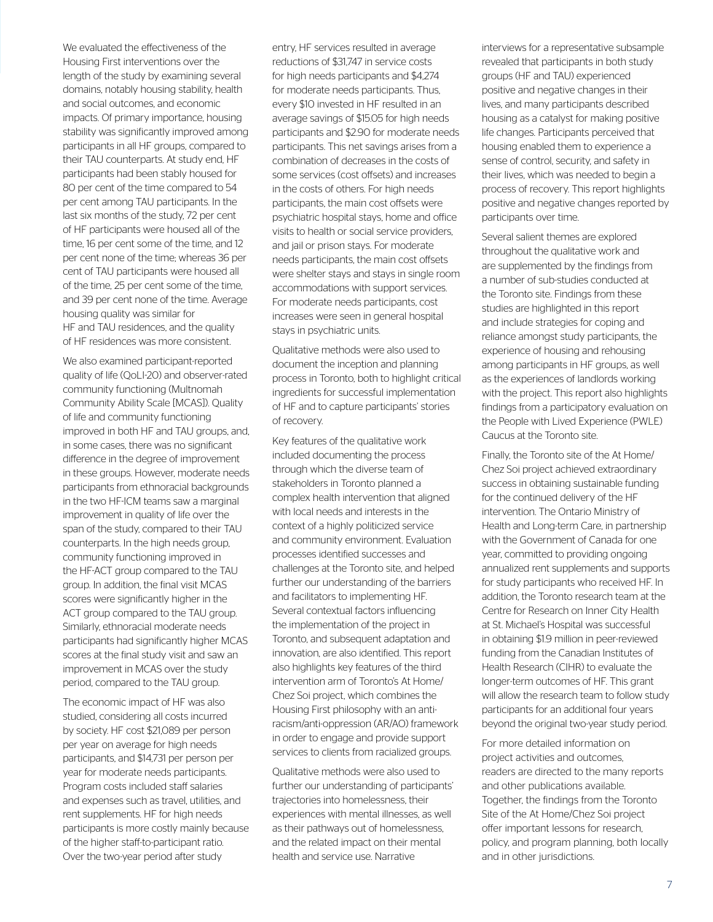We evaluated the effectiveness of the Housing First interventions over the length of the study by examining several domains, notably housing stability, health and social outcomes, and economic impacts. Of primary importance, housing stability was significantly improved among participants in all HF groups, compared to their TAU counterparts. At study end, HF participants had been stably housed for 80 per cent of the time compared to 54 per cent among TAU participants. In the last six months of the study, 72 per cent of HF participants were housed all of the time, 16 per cent some of the time, and 12 per cent none of the time; whereas 36 per cent of TAU participants were housed all of the time, 25 per cent some of the time, and 39 per cent none of the time. Average housing quality was similar for HF and TAU residences, and the quality of HF residences was more consistent.

We also examined participant-reported quality of life (QoLI-20) and observer-rated community functioning (Multnomah Community Ability Scale [MCAS]). Quality of life and community functioning improved in both HF and TAU groups, and, in some cases, there was no significant difference in the degree of improvement in these groups. However, moderate needs participants from ethnoracial backgrounds in the two HF-ICM teams saw a marginal improvement in quality of life over the span of the study, compared to their TAU counterparts. In the high needs group, community functioning improved in the HF-ACT group compared to the TAU group. In addition, the final visit MCAS scores were significantly higher in the ACT group compared to the TAU group. Similarly, ethnoracial moderate needs participants had significantly higher MCAS scores at the final study visit and saw an improvement in MCAS over the study period, compared to the TAU group.

The economic impact of HF was also studied, considering all costs incurred by society. HF cost \$21,089 per person per year on average for high needs participants, and \$14,731 per person per year for moderate needs participants. Program costs included staff salaries and expenses such as travel, utilities, and rent supplements. HF for high needs participants is more costly mainly because of the higher staff-to-participant ratio. Over the two-year period after study

entry, HF services resulted in average reductions of \$31,747 in service costs for high needs participants and \$4,274 for moderate needs participants. Thus, every \$10 invested in HF resulted in an average savings of \$15.05 for high needs participants and \$2.90 for moderate needs participants. This net savings arises from a combination of decreases in the costs of some services (cost offsets) and increases in the costs of others. For high needs participants, the main cost offsets were psychiatric hospital stays, home and office visits to health or social service providers, and jail or prison stays. For moderate needs participants, the main cost offsets were shelter stays and stays in single room accommodations with support services. For moderate needs participants, cost increases were seen in general hospital stays in psychiatric units.

Qualitative methods were also used to document the inception and planning process in Toronto, both to highlight critical ingredients for successful implementation of HF and to capture participants' stories of recovery.

Key features of the qualitative work included documenting the process through which the diverse team of stakeholders in Toronto planned a complex health intervention that aligned with local needs and interests in the context of a highly politicized service and community environment. Evaluation processes identified successes and challenges at the Toronto site, and helped further our understanding of the barriers and facilitators to implementing HF. Several contextual factors influencing the implementation of the project in Toronto, and subsequent adaptation and innovation, are also identified. This report also highlights key features of the third intervention arm of Toronto's At Home/ Chez Soi project, which combines the Housing First philosophy with an antiracism/anti-oppression (AR/AO) framework in order to engage and provide support services to clients from racialized groups.

Qualitative methods were also used to further our understanding of participants' trajectories into homelessness, their experiences with mental illnesses, as well as their pathways out of homelessness, and the related impact on their mental health and service use. Narrative

interviews for a representative subsample revealed that participants in both study groups (HF and TAU) experienced positive and negative changes in their lives, and many participants described housing as a catalyst for making positive life changes. Participants perceived that housing enabled them to experience a sense of control, security, and safety in their lives, which was needed to begin a process of recovery. This report highlights positive and negative changes reported by participants over time.

Several salient themes are explored throughout the qualitative work and are supplemented by the findings from a number of sub-studies conducted at the Toronto site. Findings from these studies are highlighted in this report and include strategies for coping and reliance amongst study participants, the experience of housing and rehousing among participants in HF groups, as well as the experiences of landlords working with the project. This report also highlights findings from a participatory evaluation on the People with Lived Experience (PWLE) Caucus at the Toronto site.

Finally, the Toronto site of the At Home/ Chez Soi project achieved extraordinary success in obtaining sustainable funding for the continued delivery of the HF intervention. The Ontario Ministry of Health and Long-term Care, in partnership with the Government of Canada for one year, committed to providing ongoing annualized rent supplements and supports for study participants who received HF. In addition, the Toronto research team at the Centre for Research on Inner City Health at St. Michael's Hospital was successful in obtaining \$1.9 million in peer-reviewed funding from the Canadian Institutes of Health Research (CIHR) to evaluate the longer-term outcomes of HF. This grant will allow the research team to follow study participants for an additional four years beyond the original two-year study period.

For more detailed information on project activities and outcomes, readers are directed to the many reports and other publications available. Together, the findings from the Toronto Site of the At Home/Chez Soi project offer important lessons for research, policy, and program planning, both locally and in other jurisdictions.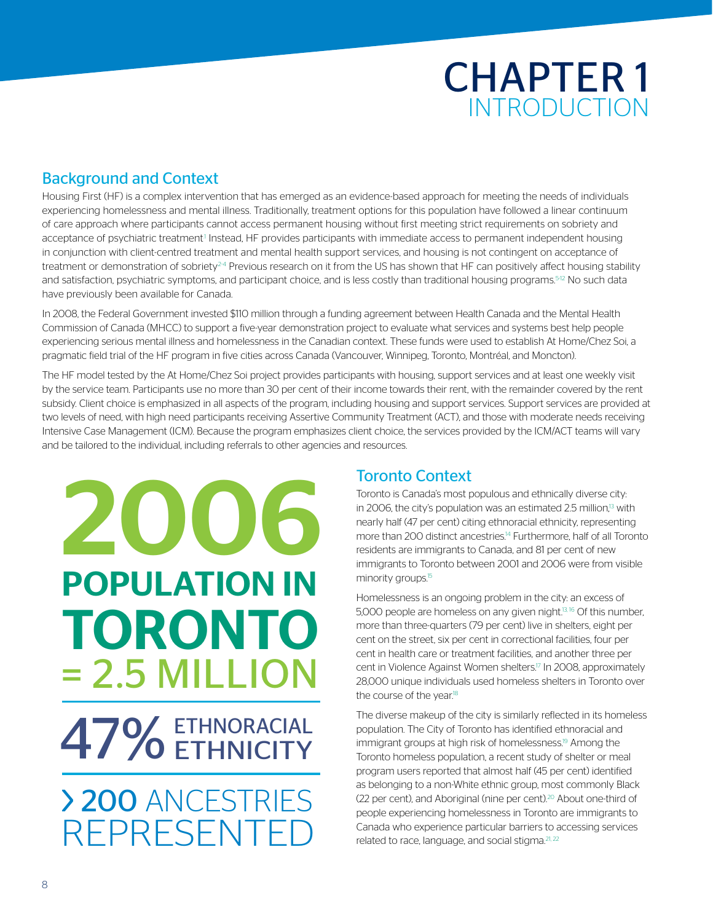## CHAPTER 1 INTRODUCTION

#### Background and Context

Housing First (HF) is a complex intervention that has emerged as an evidence-based approach for meeting the needs of individuals experiencing homelessness and mental illness. Traditionally, treatment options for this population have followed a linear continuum of care approach where participants cannot access permanent housing without first meeting strict requirements on sobriety and acceptance of psychiatric treatment<sup>1</sup> Instead, HF provides participants with immediate access to permanent independent housing in conjunction with client-centred treatment and mental health support services, and housing is not contingent on acceptance of treatment or demonstration of sobriety<sup>24</sup> Previous research on it from the US has shown that HF can positively affect housing stability and satisfaction, psychiatric symptoms, and participant choice, and is less costly than traditional housing programs.<sup>5-12</sup> No such data have previously been available for Canada.

In 2008, the Federal Government invested \$110 million through a funding agreement between Health Canada and the Mental Health Commission of Canada (MHCC) to support a five-year demonstration project to evaluate what services and systems best help people experiencing serious mental illness and homelessness in the Canadian context. These funds were used to establish At Home/Chez Soi, a pragmatic field trial of the HF program in five cities across Canada (Vancouver, Winnipeg, Toronto, Montréal, and Moncton).

The HF model tested by the At Home/Chez Soi project provides participants with housing, support services and at least one weekly visit by the service team. Participants use no more than 30 per cent of their income towards their rent, with the remainder covered by the rent subsidy. Client choice is emphasized in all aspects of the program, including housing and support services. Support services are provided at two levels of need, with high need participants receiving Assertive Community Treatment (ACT), and those with moderate needs receiving Intensive Case Management (ICM). Because the program emphasizes client choice, the services provided by the ICM/ACT teams will vary and be tailored to the individual, including referrals to other agencies and resources.

# 2006 POPULATION IN TORONTO = 2.5 MILLION ETHNORACIAL 47% ETHNORACIAL > 200 ANCESTRIES REPRESENTF

### Toronto Context

Toronto is Canada's most populous and ethnically diverse city: in 2006, the city's population was an estimated 2.5 million, $13$  with nearly half (47 per cent) citing ethnoracial ethnicity, representing more than 200 distinct ancestries.<sup>14</sup> Furthermore, half of all Toronto residents are immigrants to Canada, and 81 per cent of new immigrants to Toronto between 2001 and 2006 were from visible minority groups.<sup>15</sup>

Homelessness is an ongoing problem in the city: an excess of 5,000 people are homeless on any given night.<sup>13, 16</sup> Of this number, more than three-quarters (79 per cent) live in shelters, eight per cent on the street, six per cent in correctional facilities, four per cent in health care or treatment facilities, and another three per cent in Violence Against Women shelters.<sup>17</sup> In 2008, approximately 28,000 unique individuals used homeless shelters in Toronto over the course of the year.<sup>18</sup>

The diverse makeup of the city is similarly reflected in its homeless population. The City of Toronto has identified ethnoracial and immigrant groups at high risk of homelessness.<sup>19</sup> Among the Toronto homeless population, a recent study of shelter or meal program users reported that almost half (45 per cent) identified as belonging to a non-White ethnic group, most commonly Black (22 per cent), and Aboriginal (nine per cent).<sup>20</sup> About one-third of people experiencing homelessness in Toronto are immigrants to Canada who experience particular barriers to accessing services related to race, language, and social stigma.<sup>21, 22</sup>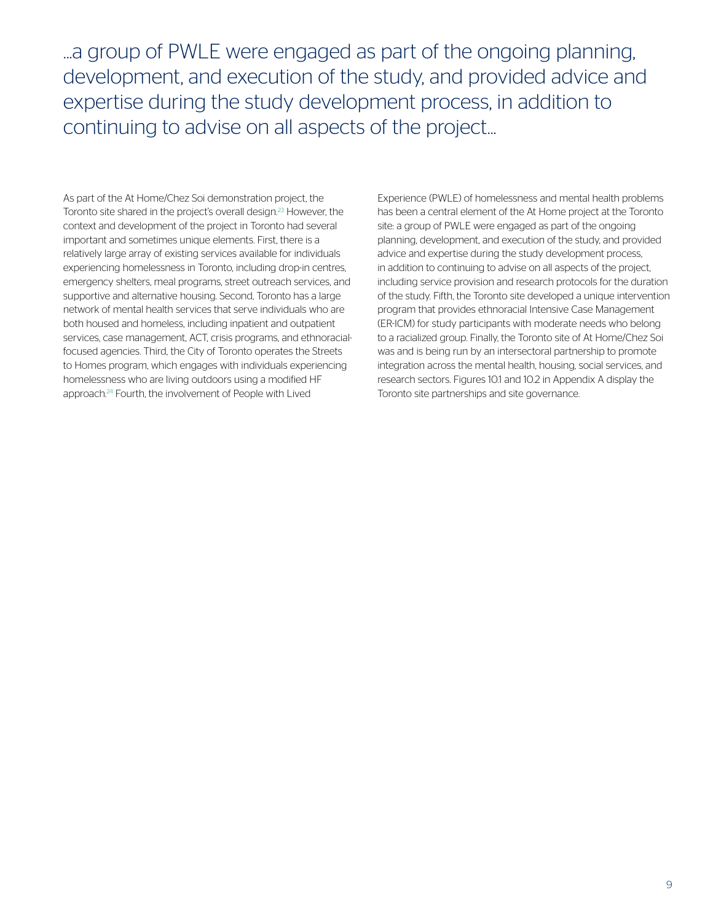...a group of PWLE were engaged as part of the ongoing planning, development, and execution of the study, and provided advice and expertise during the study development process, in addition to continuing to advise on all aspects of the project...

As part of the At Home/Chez Soi demonstration project, the Toronto site shared in the project's overall design.23 However, the context and development of the project in Toronto had several important and sometimes unique elements. First, there is a relatively large array of existing services available for individuals experiencing homelessness in Toronto, including drop-in centres, emergency shelters, meal programs, street outreach services, and supportive and alternative housing. Second, Toronto has a large network of mental health services that serve individuals who are both housed and homeless, including inpatient and outpatient services, case management, ACT, crisis programs, and ethnoracialfocused agencies. Third, the City of Toronto operates the Streets to Homes program, which engages with individuals experiencing homelessness who are living outdoors using a modified HF approach.24 Fourth, the involvement of People with Lived

Experience (PWLE) of homelessness and mental health problems has been a central element of the At Home project at the Toronto site: a group of PWLE were engaged as part of the ongoing planning, development, and execution of the study, and provided advice and expertise during the study development process, in addition to continuing to advise on all aspects of the project, including service provision and research protocols for the duration of the study. Fifth, the Toronto site developed a unique intervention program that provides ethnoracial Intensive Case Management (ER-ICM) for study participants with moderate needs who belong to a racialized group. Finally, the Toronto site of At Home/Chez Soi was and is being run by an intersectoral partnership to promote integration across the mental health, housing, social services, and research sectors. Figures 10.1 and 10.2 in Appendix A display the Toronto site partnerships and site governance.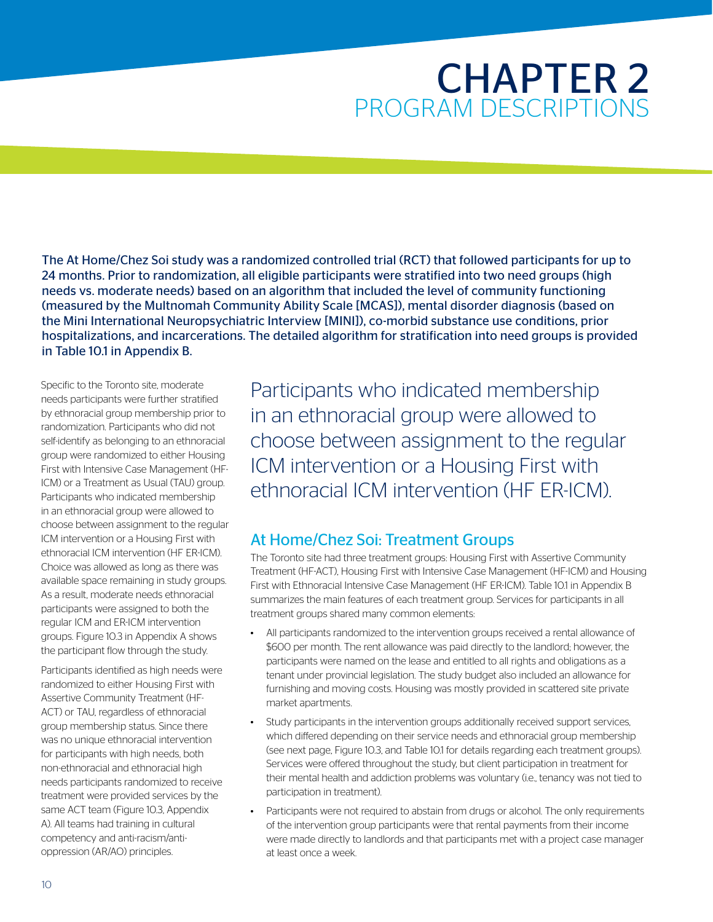## CHAPTER 2 PROGRAM DESCRIPTIONS

The At Home/Chez Soi study was a randomized controlled trial (RCT) that followed participants for up to 24 months. Prior to randomization, all eligible participants were stratified into two need groups (high needs vs. moderate needs) based on an algorithm that included the level of community functioning (measured by the Multnomah Community Ability Scale [MCAS]), mental disorder diagnosis (based on the Mini International Neuropsychiatric Interview [MINI]), co-morbid substance use conditions, prior hospitalizations, and incarcerations. The detailed algorithm for stratification into need groups is provided in Table 10.1 in Appendix B.

Specific to the Toronto site, moderate needs participants were further stratified by ethnoracial group membership prior to randomization. Participants who did not self-identify as belonging to an ethnoracial group were randomized to either Housing First with Intensive Case Management (HF-ICM) or a Treatment as Usual (TAU) group. Participants who indicated membership in an ethnoracial group were allowed to choose between assignment to the regular ICM intervention or a Housing First with ethnoracial ICM intervention (HF ER-ICM). Choice was allowed as long as there was available space remaining in study groups. As a result, moderate needs ethnoracial participants were assigned to both the regular ICM and ER-ICM intervention groups. Figure 10.3 in Appendix A shows the participant flow through the study.

Participants identified as high needs were randomized to either Housing First with Assertive Community Treatment (HF-ACT) or TAU, regardless of ethnoracial group membership status. Since there was no unique ethnoracial intervention for participants with high needs, both non-ethnoracial and ethnoracial high needs participants randomized to receive treatment were provided services by the same ACT team (Figure 10.3, Appendix A). All teams had training in cultural competency and anti-racism/antioppression (AR/AO) principles.

Participants who indicated membership in an ethnoracial group were allowed to choose between assignment to the regular ICM intervention or a Housing First with ethnoracial ICM intervention (HF ER-ICM).

### At Home/Chez Soi: Treatment Groups

The Toronto site had three treatment groups: Housing First with Assertive Community Treatment (HF-ACT), Housing First with Intensive Case Management (HF-ICM) and Housing First with Ethnoracial Intensive Case Management (HF ER-ICM). Table 10.1 in Appendix B summarizes the main features of each treatment group. Services for participants in all treatment groups shared many common elements:

- All participants randomized to the intervention groups received a rental allowance of \$600 per month. The rent allowance was paid directly to the landlord; however, the participants were named on the lease and entitled to all rights and obligations as a tenant under provincial legislation. The study budget also included an allowance for furnishing and moving costs. Housing was mostly provided in scattered site private market apartments.
- Study participants in the intervention groups additionally received support services, which differed depending on their service needs and ethnoracial group membership (see next page, Figure 10.3, and Table 10.1 for details regarding each treatment groups). Services were offered throughout the study, but client participation in treatment for their mental health and addiction problems was voluntary (i.e., tenancy was not tied to participation in treatment).
- Participants were not required to abstain from drugs or alcohol. The only requirements of the intervention group participants were that rental payments from their income were made directly to landlords and that participants met with a project case manager at least once a week.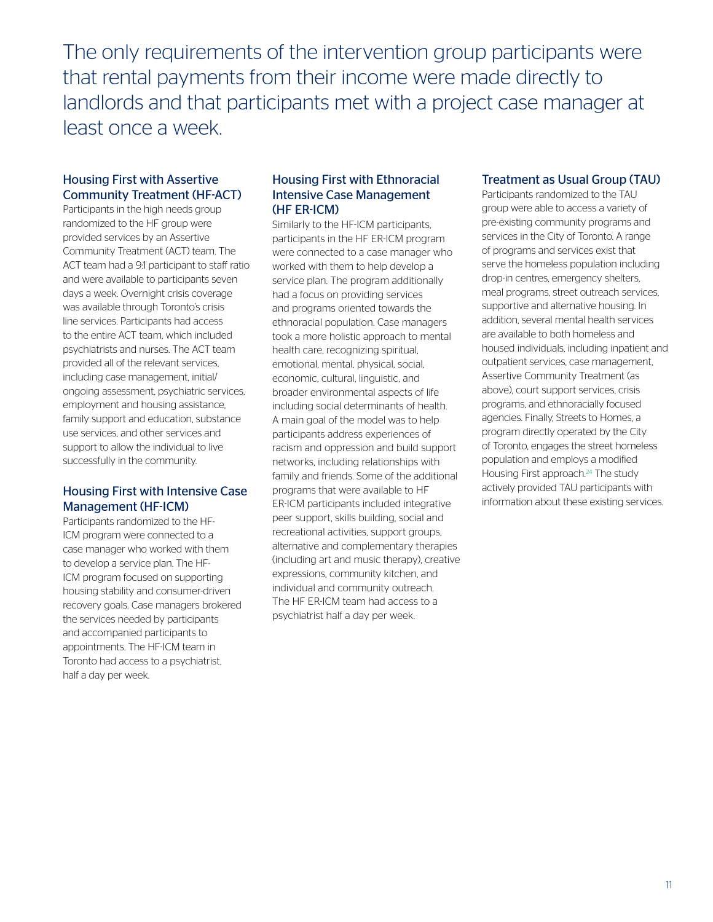The only requirements of the intervention group participants were that rental payments from their income were made directly to landlords and that participants met with a project case manager at least once a week.

#### Housing First with Assertive Community Treatment (HF-ACT)

Participants in the high needs group randomized to the HF group were provided services by an Assertive Community Treatment (ACT) team. The ACT team had a 9:1 participant to staff ratio and were available to participants seven days a week. Overnight crisis coverage was available through Toronto's crisis line services. Participants had access to the entire ACT team, which included psychiatrists and nurses. The ACT team provided all of the relevant services, including case management, initial/ ongoing assessment, psychiatric services, employment and housing assistance, family support and education, substance use services, and other services and support to allow the individual to live successfully in the community.

#### Housing First with Intensive Case Management (HF-ICM)

Participants randomized to the HF-ICM program were connected to a case manager who worked with them to develop a service plan. The HF-ICM program focused on supporting housing stability and consumer-driven recovery goals. Case managers brokered the services needed by participants and accompanied participants to appointments. The HF-ICM team in Toronto had access to a psychiatrist, half a day per week.

#### Housing First with Ethnoracial Intensive Case Management (HF ER-ICM)

Similarly to the HF-ICM participants, participants in the HF ER-ICM program were connected to a case manager who worked with them to help develop a service plan. The program additionally had a focus on providing services and programs oriented towards the ethnoracial population. Case managers took a more holistic approach to mental health care, recognizing spiritual, emotional, mental, physical, social, economic, cultural, linguistic, and broader environmental aspects of life including social determinants of health. A main goal of the model was to help participants address experiences of racism and oppression and build support networks, including relationships with family and friends. Some of the additional programs that were available to HF ER-ICM participants included integrative peer support, skills building, social and recreational activities, support groups, alternative and complementary therapies (including art and music therapy), creative expressions, community kitchen, and individual and community outreach. The HF ER-ICM team had access to a psychiatrist half a day per week.

#### Treatment as Usual Group (TAU)

Participants randomized to the TAU group were able to access a variety of pre-existing community programs and services in the City of Toronto. A range of programs and services exist that serve the homeless population including drop-in centres, emergency shelters, meal programs, street outreach services, supportive and alternative housing. In addition, several mental health services are available to both homeless and housed individuals, including inpatient and outpatient services, case management, Assertive Community Treatment (as above), court support services, crisis programs, and ethnoracially focused agencies. Finally, Streets to Homes, a program directly operated by the City of Toronto, engages the street homeless population and employs a modified Housing First approach.<sup>24</sup> The study actively provided TAU participants with information about these existing services.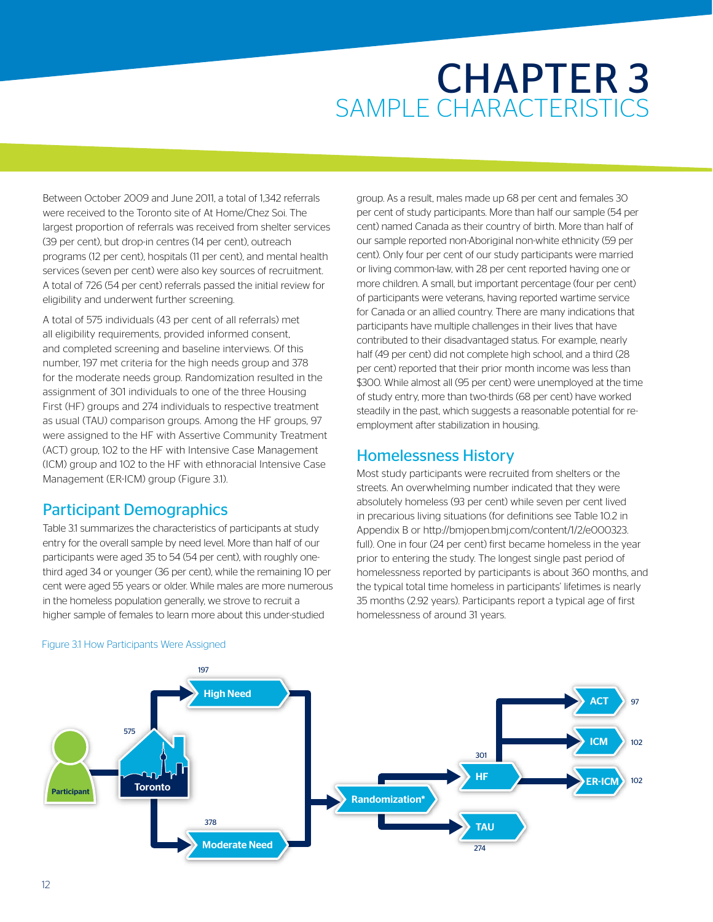## CHAPTER 3 SAMPLE CHARACTERISTICS

Between October 2009 and June 2011, a total of 1,342 referrals were received to the Toronto site of At Home/Chez Soi. The largest proportion of referrals was received from shelter services (39 per cent), but drop-in centres (14 per cent), outreach programs (12 per cent), hospitals (11 per cent), and mental health services (seven per cent) were also key sources of recruitment. A total of 726 (54 per cent) referrals passed the initial review for eligibility and underwent further screening.

A total of 575 individuals (43 per cent of all referrals) met all eligibility requirements, provided informed consent, and completed screening and baseline interviews. Of this number, 197 met criteria for the high needs group and 378 for the moderate needs group. Randomization resulted in the assignment of 301 individuals to one of the three Housing First (HF) groups and 274 individuals to respective treatment as usual (TAU) comparison groups. Among the HF groups, 97 were assigned to the HF with Assertive Community Treatment (ACT) group, 102 to the HF with Intensive Case Management (ICM) group and 102 to the HF with ethnoracial Intensive Case Management (ER-ICM) group (Figure 3.1).

#### Participant Demographics

Table 3.1 summarizes the characteristics of participants at study entry for the overall sample by need level. More than half of our participants were aged 35 to 54 (54 per cent), with roughly onethird aged 34 or younger (36 per cent), while the remaining 10 per cent were aged 55 years or older. While males are more numerous in the homeless population generally, we strove to recruit a higher sample of females to learn more about this under-studied

group. As a result, males made up 68 per cent and females 30 per cent of study participants. More than half our sample (54 per cent) named Canada as their country of birth. More than half of our sample reported non-Aboriginal non-white ethnicity (59 per cent). Only four per cent of our study participants were married or living common-law, with 28 per cent reported having one or more children. A small, but important percentage (four per cent) of participants were veterans, having reported wartime service for Canada or an allied country. There are many indications that participants have multiple challenges in their lives that have contributed to their disadvantaged status. For example, nearly half (49 per cent) did not complete high school, and a third (28 per cent) reported that their prior month income was less than \$300. While almost all (95 per cent) were unemployed at the time of study entry, more than two-thirds (68 per cent) have worked steadily in the past, which suggests a reasonable potential for reemployment after stabilization in housing.

#### Homelessness History

Most study participants were recruited from shelters or the streets. An overwhelming number indicated that they were absolutely homeless (93 per cent) while seven per cent lived in precarious living situations (for definitions see Table 10.2 in Appendix B or http://bmjopen.bmj.com/content/1/2/e000323. full). One in four (24 per cent) first became homeless in the year prior to entering the study. The longest single past period of homelessness reported by participants is about 360 months, and the typical total time homeless in participants' lifetimes is nearly 35 months (2.92 years). Participants report a typical age of first homelessness of around 31 years.



#### Figure 3.1 How Participants Were Assigned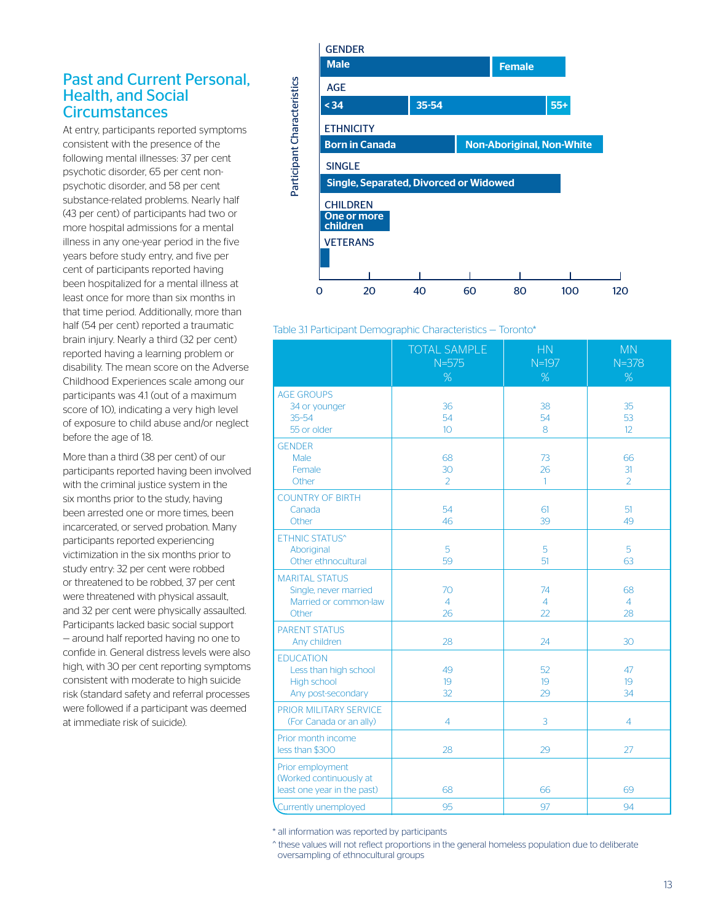#### Past and Current Personal, Health, and Social **Circumstances**

At entry, participants reported symptoms consistent with the presence of the following mental illnesses: 37 per cent psychotic disorder, 65 per cent nonpsychotic disorder, and 58 per cent substance-related problems. Nearly half (43 per cent) of participants had two or more hospital admissions for a mental illness in any one-year period in the five years before study entry, and five per cent of participants reported having been hospitalized for a mental illness at least once for more than six months in that time period. Additionally, more than half (54 per cent) reported a traumatic brain injury. Nearly a third (32 per cent) reported having a learning problem or disability. The mean score on the Adverse Childhood Experiences scale among our participants was 4.1 (out of a maximum score of 10), indicating a very high level of exposure to child abuse and/or neglect before the age of 18.

More than a third (38 per cent) of our participants reported having been involved with the criminal justice system in the six months prior to the study, having been arrested one or more times, been incarcerated, or served probation. Many participants reported experiencing victimization in the six months prior to study entry: 32 per cent were robbed or threatened to be robbed, 37 per cent were threatened with physical assault, and 32 per cent were physically assaulted. Participants lacked basic social support — around half reported having no one to confide in. General distress levels were also high, with 30 per cent reporting symptoms consistent with moderate to high suicide risk (standard safety and referral processes were followed if a participant was deemed at immediate risk of suicide).



#### Table 3.1 Participant Demographic Characteristics — Toronto\*

|                                                                                  | <b>TOTAL SAMPLE</b><br>$N = 575$<br>% | HN<br>$N=197$<br>%         | <b>MN</b><br>$N = 378$<br>% |
|----------------------------------------------------------------------------------|---------------------------------------|----------------------------|-----------------------------|
| <b>AGE GROUPS</b><br>34 or younger<br>$35 - 54$<br>55 or older                   | 36<br>54<br>10 <sup>°</sup>           | 38<br>54<br>8              | 35<br>53<br>12              |
| <b>GENDER</b><br>Male<br>Female<br>Other                                         | 68<br>30<br>$\overline{2}$            | 73<br>26<br>$\mathbf{1}$   | 66<br>31<br>$\overline{2}$  |
| <b>COUNTRY OF BIRTH</b><br>Canada<br>Other                                       | 54<br>46                              | 61<br>39                   | 51<br>49                    |
| <b>ETHNIC STATUS^</b><br>Aboriginal<br>Other ethnocultural                       | 5<br>59                               | 5<br>51                    | 5<br>63                     |
| <b>MARITAL STATUS</b><br>Single, never married<br>Married or common-law<br>Other | 70<br>4<br>26                         | 74<br>$\overline{4}$<br>22 | 68<br>$\overline{4}$<br>28  |
| <b>PARENT STATUS</b><br>Any children                                             | 28                                    | 24                         | 30                          |
| <b>EDUCATION</b><br>Less than high school<br>High school<br>Any post-secondary   | 49<br>19<br>32                        | 52<br>19<br>29             | 47<br>19<br>34              |
| PRIOR MILITARY SERVICE<br>(For Canada or an ally)                                | $\overline{4}$                        | 3                          | $\overline{4}$              |
| Prior month income<br>less than \$300                                            | 28                                    | 29                         | 27                          |
| Prior employment<br>(Worked continuously at<br>least one year in the past)       | 68                                    | 66                         | 69                          |
| Currently unemployed                                                             | 95                                    | 97                         | 94                          |

\* all information was reported by participants

^ these values will not reflect proportions in the general homeless population due to deliberate oversampling of ethnocultural groups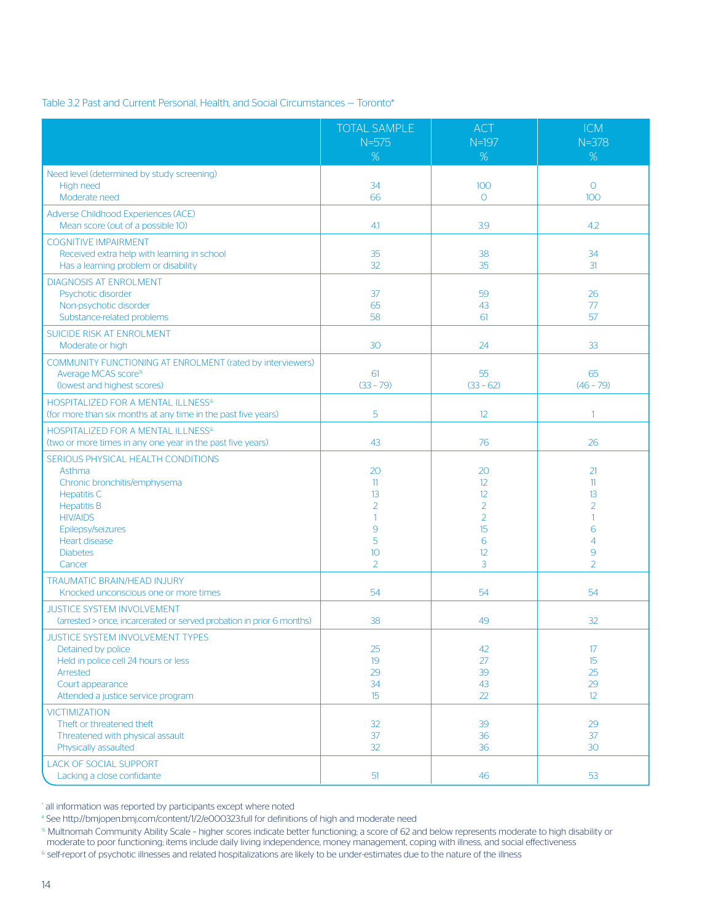#### Table 3.2 Past and Current Personal, Health, and Social Circumstances — Toronto\*

|                                                                                                                                                                                                                       | <b>TOTAL SAMPLE</b><br>$N = 575$<br>%                      | <b>ACT</b><br>$N=197$<br>%                                               | <b>ICM</b><br>$N = 378$<br>%                                                        |
|-----------------------------------------------------------------------------------------------------------------------------------------------------------------------------------------------------------------------|------------------------------------------------------------|--------------------------------------------------------------------------|-------------------------------------------------------------------------------------|
| Need level (determined by study screening)<br>High need<br>Moderate need                                                                                                                                              | 34<br>66                                                   | 100<br>$\Omega$                                                          | $\Omega$<br>100                                                                     |
| Adverse Childhood Experiences (ACE)<br>Mean score (out of a possible 10)                                                                                                                                              | 4.1                                                        | 3.9                                                                      | 4.2                                                                                 |
| <b>COGNITIVE IMPAIRMENT</b><br>Received extra help with learning in school<br>Has a learning problem or disability                                                                                                    | 35<br>32                                                   | 38<br>35                                                                 | 34<br>31                                                                            |
| <b>DIAGNOSIS AT ENROLMENT</b><br>Psychotic disorder<br>Non-psychotic disorder<br>Substance-related problems                                                                                                           | 37<br>65<br>58                                             | 59<br>43<br>61                                                           | 26<br>77<br>57                                                                      |
| SUICIDE RISK AT ENROLMENT<br>Moderate or high                                                                                                                                                                         | 30                                                         | 24                                                                       | 33                                                                                  |
| COMMUNITY FUNCTIONING AT ENROLMENT (rated by interviewers)<br>Average MCAS score <sup>%</sup><br>(lowest and highest scores)                                                                                          | 61<br>$(33 - 79)$                                          | 55<br>$(33 - 62)$                                                        | 65<br>$(46 - 79)$                                                                   |
| HOSPITALIZED FOR A MENTAL ILLNESS <sup>&amp;</sup><br>(for more than six months at any time in the past five years)                                                                                                   | 5                                                          | 12                                                                       | $\mathbf{1}$                                                                        |
| HOSPITALIZED FOR A MENTAL ILLNESS <sup>&amp;</sup><br>(two or more times in any one year in the past five years)                                                                                                      | 43                                                         | 76                                                                       | 26                                                                                  |
| SERIOUS PHYSICAL HEALTH CONDITIONS<br>Asthma<br>Chronic bronchitis/emphysema<br><b>Hepatitis C</b><br><b>Hepatitis B</b><br><b>HIV/AIDS</b><br>Epilepsy/seizures<br><b>Heart disease</b><br><b>Diabetes</b><br>Cancer | 20<br>11<br>13<br>$\overline{2}$<br>1<br>9<br>5<br>10<br>2 | 20<br>12<br>12<br>$\overline{2}$<br>$\overline{2}$<br>15<br>6<br>12<br>3 | 21<br>11<br>13<br>$\overline{2}$<br>1<br>6<br>$\overline{4}$<br>9<br>$\overline{2}$ |
| <b>TRAUMATIC BRAIN/HEAD INJURY</b><br>Knocked unconscious one or more times                                                                                                                                           | 54                                                         | 54                                                                       | 54                                                                                  |
| <b>JUSTICE SYSTEM INVOLVEMENT</b><br>(arrested > once, incarcerated or served probation in prior 6 months)                                                                                                            | 38                                                         | 49                                                                       | 32                                                                                  |
| JUSTICE SYSTEM INVOLVEMENT TYPES<br>Detained by police<br>Held in police cell 24 hours or less<br>Arrested<br>Court appearance<br>Attended a justice service program                                                  | 25<br>19<br>29<br>34<br>15                                 | 42<br>27<br>39<br>43<br>22                                               | 17<br>15<br>25<br>29<br>12                                                          |
| <b>VICTIMIZATION</b><br>Theft or threatened theft<br>Threatened with physical assault<br>Physically assaulted                                                                                                         | 32<br>37<br>32                                             | 39<br>36<br>36                                                           | 29<br>37<br>30                                                                      |
| <b>LACK OF SOCIAL SUPPORT</b><br>Lacking a close confidante                                                                                                                                                           | 51                                                         | 46                                                                       | 53                                                                                  |

\* all information was reported by participants except where noted

# See http://bmjopen.bmj.com/content/1/2/e000323.full for definitions of high and moderate need

% Multnomah Community Ability Scale – higher scores indicate better functioning; a score of 62 and below represents moderate to high disability or moderate to poor functioning; items include daily living independence, money management, coping with illness, and social effectiveness

& self-report of psychotic illnesses and related hospitalizations are likely to be under-estimates due to the nature of the illness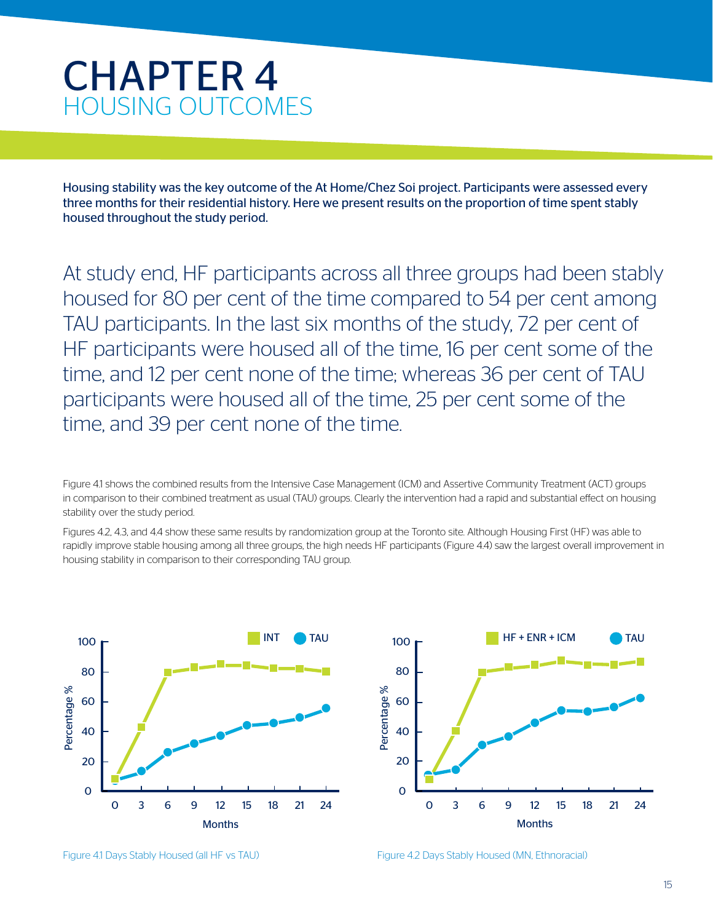### CHAPTER 4 HOUSING OUTCOMES

Housing stability was the key outcome of the At Home/Chez Soi project. Participants were assessed every three months for their residential history. Here we present results on the proportion of time spent stably housed throughout the study period.

At study end, HF participants across all three groups had been stably housed for 80 per cent of the time compared to 54 per cent among TAU participants. In the last six months of the study, 72 per cent of HF participants were housed all of the time, 16 per cent some of the time, and 12 per cent none of the time; whereas 36 per cent of TAU participants were housed all of the time, 25 per cent some of the time, and 39 per cent none of the time.

Figure 4.1 shows the combined results from the Intensive Case Management (ICM) and Assertive Community Treatment (ACT) groups in comparison to their combined treatment as usual (TAU) groups. Clearly the intervention had a rapid and substantial effect on housing stability over the study period.

Figures 4.2, 4.3, and 4.4 show these same results by randomization group at the Toronto site. Although Housing First (HF) was able to rapidly improve stable housing among all three groups, the high needs HF participants (Figure 4.4) saw the largest overall improvement in housing stability in comparison to their corresponding TAU group.





Figure 4.1 Days Stably Housed (all HF vs TAU)

Figure 4.2 Days Stably Housed (MN, Ethnoracial)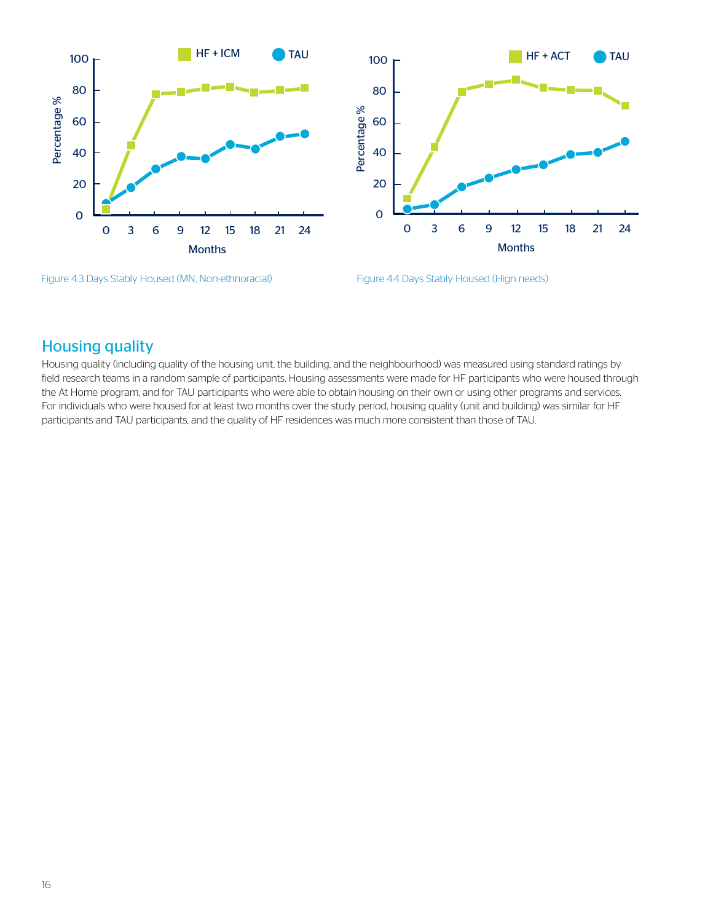



Figure 4.3 Days Stably Housed (MN, Non-ethnoracial) Figure 4.4 Days Stably Housed (Hign needs)



#### Housing quality

Housing quality (including quality of the housing unit, the building, and the neighbourhood) was measured using standard ratings by field research teams in a random sample of participants. Housing assessments were made for HF participants who were housed through the At Home program, and for TAU participants who were able to obtain housing on their own or using other programs and services. For individuals who were housed for at least two months over the study period, housing quality (unit and building) was similar for HF participants and TAU participants, and the quality of HF residences was much more consistent than those of TAU.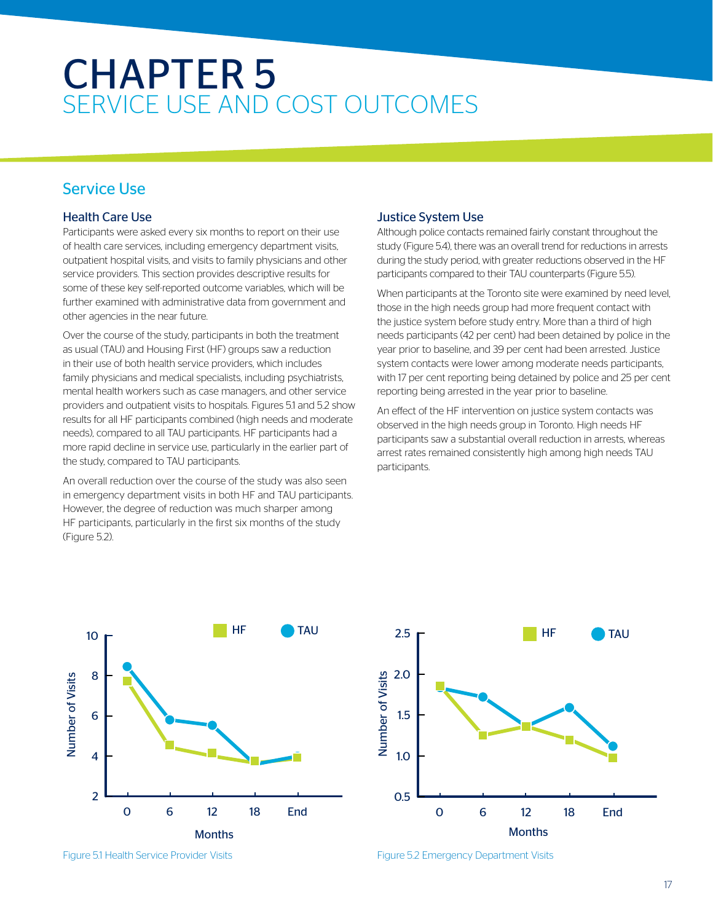### CHAPTER 5 SERVICE USE AND COST OUTCOMES

#### Service Use

#### Health Care Use

Participants were asked every six months to report on their use of health care services, including emergency department visits, outpatient hospital visits, and visits to family physicians and other service providers. This section provides descriptive results for some of these key self-reported outcome variables, which will be further examined with administrative data from government and other agencies in the near future.

Over the course of the study, participants in both the treatment as usual (TAU) and Housing First (HF) groups saw a reduction in their use of both health service providers, which includes family physicians and medical specialists, including psychiatrists, mental health workers such as case managers, and other service providers and outpatient visits to hospitals. Figures 5.1 and 5.2 show results for all HF participants combined (high needs and moderate needs), compared to all TAU participants. HF participants had a more rapid decline in service use, particularly in the earlier part of the study, compared to TAU participants.

An overall reduction over the course of the study was also seen in emergency department visits in both HF and TAU participants. However, the degree of reduction was much sharper among HF participants, particularly in the first six months of the study (Figure 5.2).

#### Justice System Use

Although police contacts remained fairly constant throughout the study (Figure 5.4), there was an overall trend for reductions in arrests during the study period, with greater reductions observed in the HF participants compared to their TAU counterparts (Figure 5.5).

When participants at the Toronto site were examined by need level, those in the high needs group had more frequent contact with the justice system before study entry. More than a third of high needs participants (42 per cent) had been detained by police in the year prior to baseline, and 39 per cent had been arrested. Justice system contacts were lower among moderate needs participants, with 17 per cent reporting being detained by police and 25 per cent reporting being arrested in the year prior to baseline.

An effect of the HF intervention on justice system contacts was observed in the high needs group in Toronto. High needs HF participants saw a substantial overall reduction in arrests, whereas arrest rates remained consistently high among high needs TAU participants.







Figure 5.2 Emergency Department Visits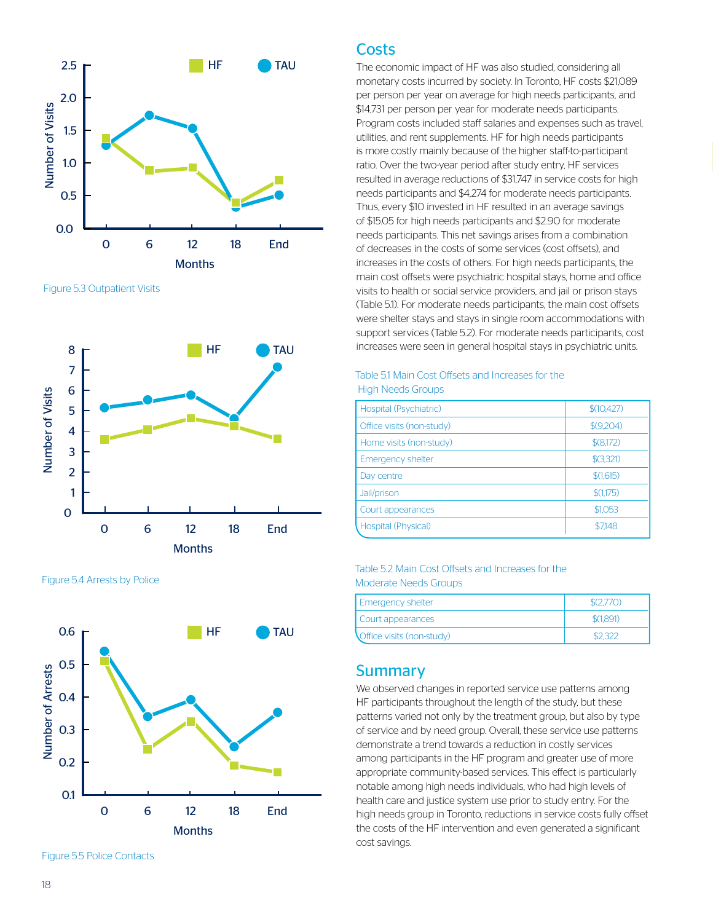

Figure 5.3 Outpatient Visits



Figure 5.4 Arrests by Police



Figure 5.5 Police Contacts

#### **Costs**

The economic impact of HF was also studied, considering all monetary costs incurred by society. In Toronto, HF costs \$21,089 per person per year on average for high needs participants, and \$14,731 per person per year for moderate needs participants. Program costs included staff salaries and expenses such as travel, utilities, and rent supplements. HF for high needs participants is more costly mainly because of the higher staff-to-participant ratio. Over the two-year period after study entry, HF services resulted in average reductions of \$31,747 in service costs for high needs participants and \$4,274 for moderate needs participants. Thus, every \$10 invested in HF resulted in an average savings of \$15.05 for high needs participants and \$2.90 for moderate needs participants. This net savings arises from a combination of decreases in the costs of some services (cost offsets), and increases in the costs of others. For high needs participants, the main cost offsets were psychiatric hospital stays, home and office visits to health or social service providers, and jail or prison stays (Table 5.1). For moderate needs participants, the main cost offsets were shelter stays and stays in single room accommodations with support services (Table 5.2). For moderate needs participants, cost increases were seen in general hospital stays in psychiatric units.

#### Table 5.1 Main Cost Offsets and Increases for the High Needs Groups

| Hospital (Psychiatric)    | \$(10, 427) |
|---------------------------|-------------|
| Office visits (non-study) | \$(9,204)   |
| Home visits (non-study)   | \$ (8,172)  |
| <b>Emergency shelter</b>  | \$3,321     |
| Day centre                | \$(1,615)   |
| Jail/prison               | \$(1,175)   |
| Court appearances         | \$1,053     |
| Hospital (Physical)       | \$7148      |

#### Table 5.2 Main Cost Offsets and Increases for the Moderate Needs Groups

| <b>Emergency shelter</b>  | \$(2.770) |
|---------------------------|-----------|
| Court appearances         | \$(1,891) |
| Office visits (non-study) |           |

#### **Summary**

We observed changes in reported service use patterns among HF participants throughout the length of the study, but these patterns varied not only by the treatment group, but also by type of service and by need group. Overall, these service use patterns demonstrate a trend towards a reduction in costly services among participants in the HF program and greater use of more appropriate community-based services. This effect is particularly notable among high needs individuals, who had high levels of health care and justice system use prior to study entry. For the high needs group in Toronto, reductions in service costs fully offset the costs of the HF intervention and even generated a significant cost savings.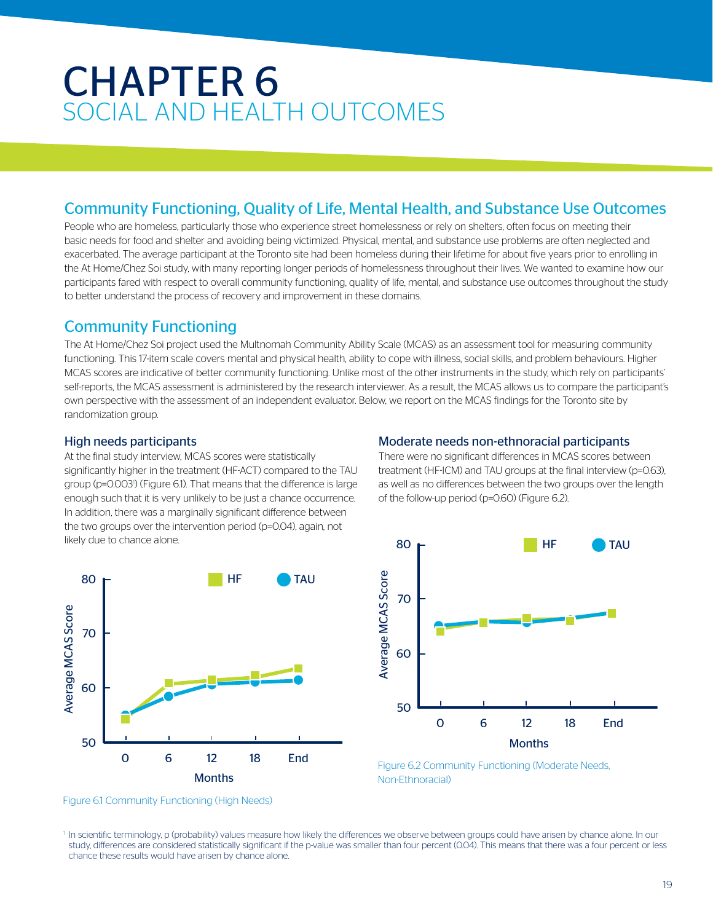### CHAPTER 6 SOCIAL AND HEALTH OUTCOMES

#### Community Functioning, Quality of Life, Mental Health, and Substance Use Outcomes

People who are homeless, particularly those who experience street homelessness or rely on shelters, often focus on meeting their basic needs for food and shelter and avoiding being victimized. Physical, mental, and substance use problems are often neglected and exacerbated. The average participant at the Toronto site had been homeless during their lifetime for about five years prior to enrolling in the At Home/Chez Soi study, with many reporting longer periods of homelessness throughout their lives. We wanted to examine how our participants fared with respect to overall community functioning, quality of life, mental, and substance use outcomes throughout the study to better understand the process of recovery and improvement in these domains.

#### Community Functioning

The At Home/Chez Soi project used the Multnomah Community Ability Scale (MCAS) as an assessment tool for measuring community functioning. This 17-item scale covers mental and physical health, ability to cope with illness, social skills, and problem behaviours. Higher MCAS scores are indicative of better community functioning. Unlike most of the other instruments in the study, which rely on participants' self-reports, the MCAS assessment is administered by the research interviewer. As a result, the MCAS allows us to compare the participant's own perspective with the assessment of an independent evaluator. Below, we report on the MCAS findings for the Toronto site by randomization group.

#### High needs participants

At the final study interview, MCAS scores were statistically significantly higher in the treatment (HF-ACT) compared to the TAU group (p=0.003<sup>)</sup> (Figure 6.1). That means that the difference is large enough such that it is very unlikely to be just a chance occurrence. In addition, there was a marginally significant difference between the two groups over the intervention period (p=0.04), again, not likely due to chance alone.





There were no significant differences in MCAS scores between treatment (HF-ICM) and TAU groups at the final interview (p=0.63), as well as no differences between the two groups over the length of the follow-up period (p=0.60) (Figure 6.2).



Figure 6.2 Community Functioning (Moderate Needs, Non-Ethnoracial)

Figure 6.1 Community Functioning (High Needs)

<sup>1</sup> In scientific terminology, p (probability) values measure how likely the differences we observe between groups could have arisen by chance alone. In our study, differences are considered statistically significant if the p-value was smaller than four percent (0.04). This means that there was a four percent or less chance these results would have arisen by chance alone.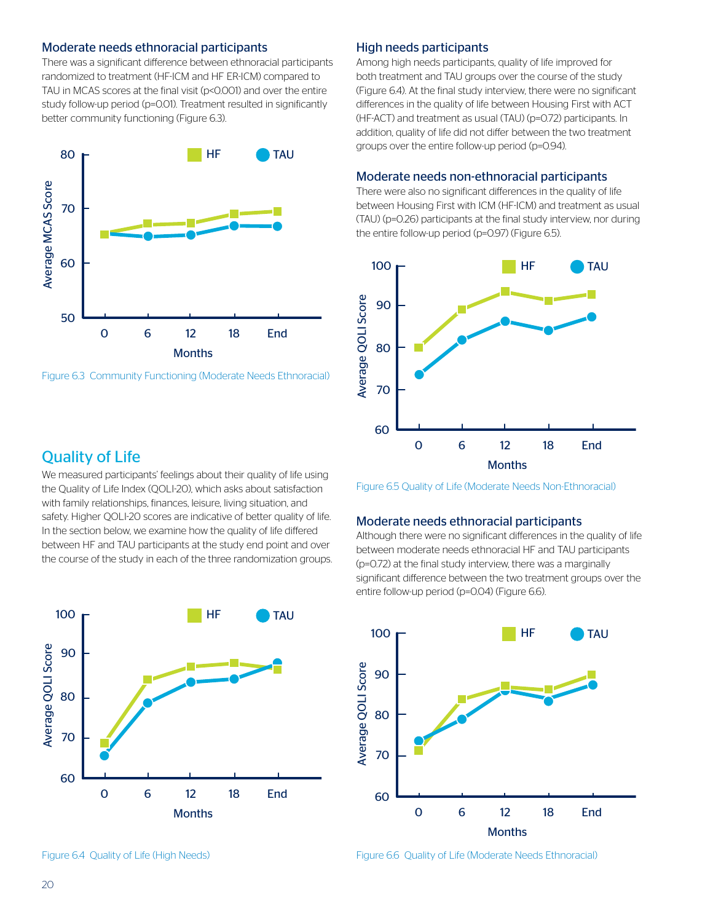#### Moderate needs ethnoracial participants

There was a significant difference between ethnoracial participants randomized to treatment (HF-ICM and HF ER-ICM) compared to TAU in MCAS scores at the final visit (p<0.001) and over the entire study follow-up period (p=0.01). Treatment resulted in significantly better community functioning (Figure 6.3).



Figure 6.3 Community Functioning (Moderate Needs Ethnoracial)

#### Quality of Life

We measured participants' feelings about their quality of life using the Quality of Life Index (QOLI-20), which asks about satisfaction with family relationships, finances, leisure, living situation, and safety. Higher QOLI-20 scores are indicative of better quality of life. In the section below, we examine how the quality of life differed between HF and TAU participants at the study end point and over the course of the study in each of the three randomization groups. FIGURE 6.5 AND LOCAL TO A REPORT OF THE VALUE OF  $\mathbb{R}^n$ 





#### High needs participants

Among high needs participants, quality of life improved for both treatment and TAU groups over the course of the study (Figure 6.4). At the final study interview, there were no significant differences in the quality of life between Housing First with ACT (HF-ACT) and treatment as usual (TAU) (p=0.72) participants. In addition, quality of life did not differ between the two treatment groups over the entire follow-up period (p=0.94).

#### Moderate needs non-ethnoracial participants

There were also no significant differences in the quality of life between Housing First with ICM (HF-ICM) and treatment as usual (TAU) (p=0.26) participants at the final study interview, nor during the entire follow-up period (p=0.97) (Figure 6.5).





#### Moderate needs ethnoracial participants

Although there were no significant differences in the quality of life between moderate needs ethnoracial HF and TAU participants (p=0.72) at the final study interview, there was a marginally significant difference between the two treatment groups over the signmeant allierence between the two treat<br>entire follow-up period (p=0.04) (Figure 6.6).



Figure 6.6 Quality of Life (Moderate Needs Ethnoracial)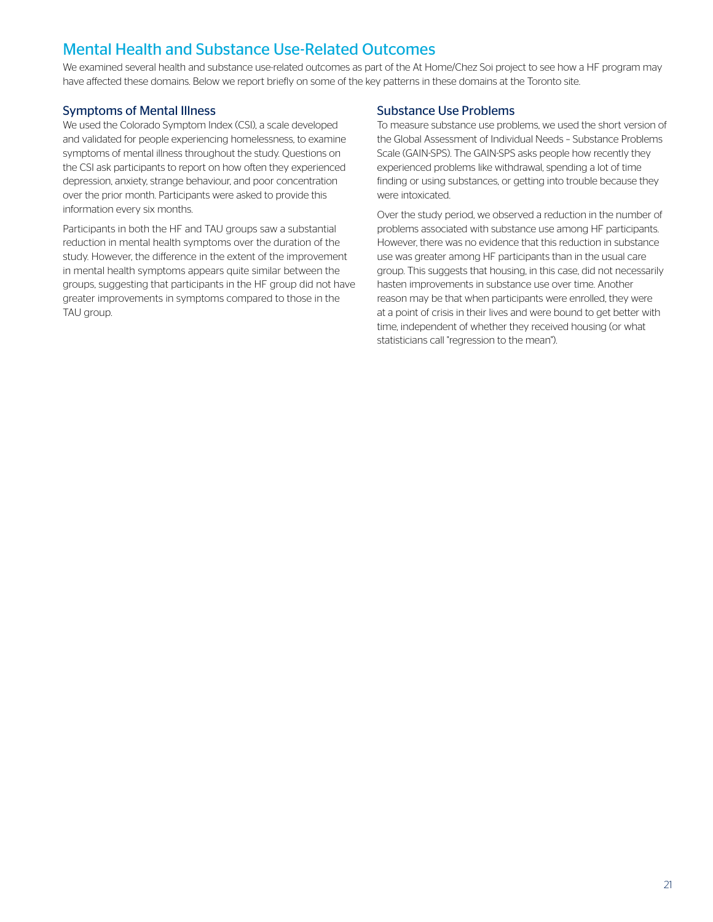### Mental Health and Substance Use-Related Outcomes

We examined several health and substance use-related outcomes as part of the At Home/Chez Soi project to see how a HF program may have affected these domains. Below we report briefly on some of the key patterns in these domains at the Toronto site.

#### Symptoms of Mental Illness

We used the Colorado Symptom Index (CSI), a scale developed and validated for people experiencing homelessness, to examine symptoms of mental illness throughout the study. Questions on the CSI ask participants to report on how often they experienced depression, anxiety, strange behaviour, and poor concentration over the prior month. Participants were asked to provide this information every six months.

Participants in both the HF and TAU groups saw a substantial reduction in mental health symptoms over the duration of the study. However, the difference in the extent of the improvement in mental health symptoms appears quite similar between the groups, suggesting that participants in the HF group did not have greater improvements in symptoms compared to those in the TAU group.

#### Substance Use Problems

To measure substance use problems, we used the short version of the Global Assessment of Individual Needs – Substance Problems Scale (GAIN-SPS). The GAIN-SPS asks people how recently they experienced problems like withdrawal, spending a lot of time finding or using substances, or getting into trouble because they were intoxicated.

Over the study period, we observed a reduction in the number of problems associated with substance use among HF participants. However, there was no evidence that this reduction in substance use was greater among HF participants than in the usual care group. This suggests that housing, in this case, did not necessarily hasten improvements in substance use over time. Another reason may be that when participants were enrolled, they were at a point of crisis in their lives and were bound to get better with time, independent of whether they received housing (or what statisticians call "regression to the mean").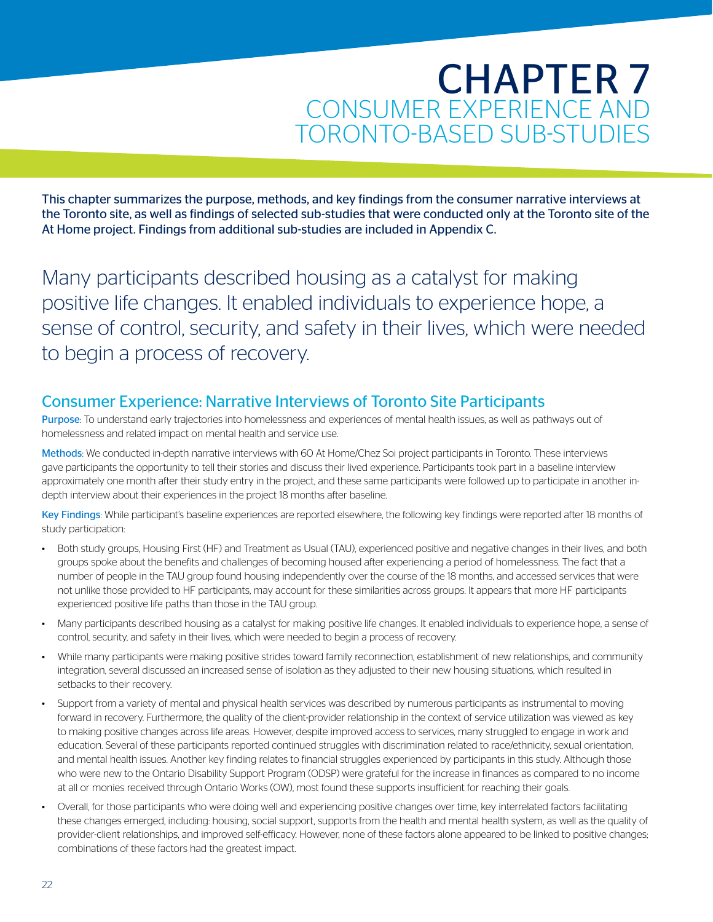### CHAPTER 7 CONSUMER EXPERIENCE AND TORONTO-BASED SUB-STUDIES

This chapter summarizes the purpose, methods, and key findings from the consumer narrative interviews at the Toronto site, as well as findings of selected sub-studies that were conducted only at the Toronto site of the At Home project. Findings from additional sub-studies are included in Appendix C.

Many participants described housing as a catalyst for making positive life changes. It enabled individuals to experience hope, a sense of control, security, and safety in their lives, which were needed to begin a process of recovery.

### Consumer Experience: Narrative Interviews of Toronto Site Participants

Purpose: To understand early trajectories into homelessness and experiences of mental health issues, as well as pathways out of homelessness and related impact on mental health and service use.

Methods: We conducted in-depth narrative interviews with 60 At Home/Chez Soi project participants in Toronto. These interviews gave participants the opportunity to tell their stories and discuss their lived experience. Participants took part in a baseline interview approximately one month after their study entry in the project, and these same participants were followed up to participate in another indepth interview about their experiences in the project 18 months after baseline.

Key Findings: While participant's baseline experiences are reported elsewhere, the following key findings were reported after 18 months of study participation:

- Both study groups, Housing First (HF) and Treatment as Usual (TAU), experienced positive and negative changes in their lives, and both groups spoke about the benefits and challenges of becoming housed after experiencing a period of homelessness. The fact that a number of people in the TAU group found housing independently over the course of the 18 months, and accessed services that were not unlike those provided to HF participants, may account for these similarities across groups. It appears that more HF participants experienced positive life paths than those in the TAU group.
- Many participants described housing as a catalyst for making positive life changes. It enabled individuals to experience hope, a sense of control, security, and safety in their lives, which were needed to begin a process of recovery.
- While many participants were making positive strides toward family reconnection, establishment of new relationships, and community integration, several discussed an increased sense of isolation as they adjusted to their new housing situations, which resulted in setbacks to their recovery.
- Support from a variety of mental and physical health services was described by numerous participants as instrumental to moving forward in recovery. Furthermore, the quality of the client-provider relationship in the context of service utilization was viewed as key to making positive changes across life areas. However, despite improved access to services, many struggled to engage in work and education. Several of these participants reported continued struggles with discrimination related to race/ethnicity, sexual orientation, and mental health issues. Another key finding relates to financial struggles experienced by participants in this study. Although those who were new to the Ontario Disability Support Program (ODSP) were grateful for the increase in finances as compared to no income at all or monies received through Ontario Works (OW), most found these supports insufficient for reaching their goals.
- Overall, for those participants who were doing well and experiencing positive changes over time, key interrelated factors facilitating these changes emerged, including: housing, social support, supports from the health and mental health system, as well as the quality of provider-client relationships, and improved self-efficacy. However, none of these factors alone appeared to be linked to positive changes; combinations of these factors had the greatest impact.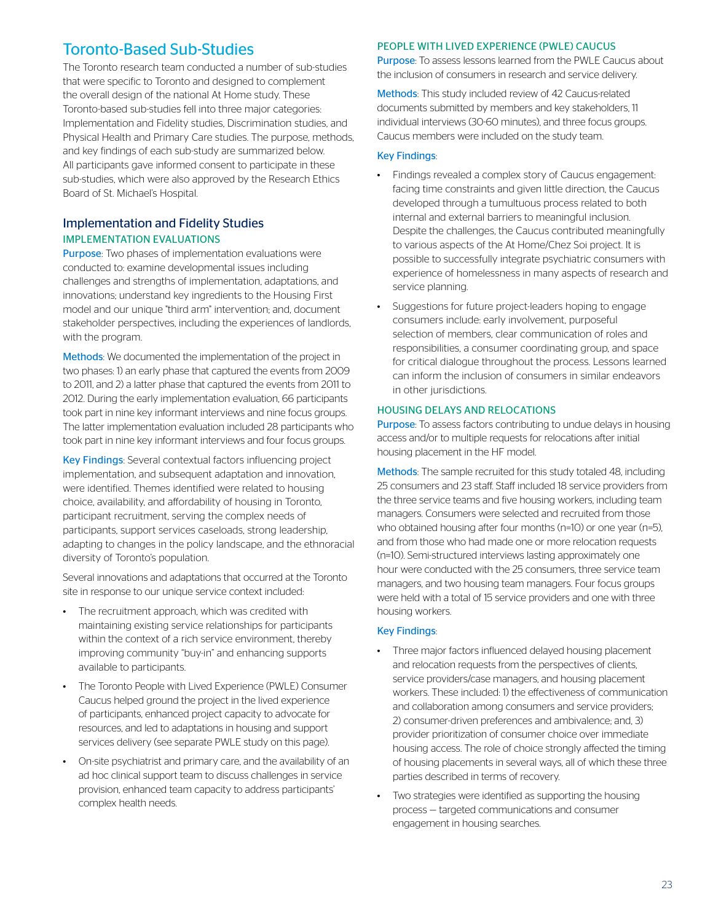### Toronto-Based Sub-Studies

The Toronto research team conducted a number of sub-studies that were specific to Toronto and designed to complement the overall design of the national At Home study. These Toronto-based sub-studies fell into three major categories: Implementation and Fidelity studies, Discrimination studies, and Physical Health and Primary Care studies. The purpose, methods, and key findings of each sub-study are summarized below. All participants gave informed consent to participate in these sub-studies, which were also approved by the Research Ethics Board of St. Michael's Hospital.

#### Implementation and Fidelity Studies IMPLEMENTATION EVALUATIONS

Purpose: Two phases of implementation evaluations were conducted to: examine developmental issues including challenges and strengths of implementation, adaptations, and innovations; understand key ingredients to the Housing First model and our unique "third arm" intervention; and, document stakeholder perspectives, including the experiences of landlords, with the program.

Methods: We documented the implementation of the project in two phases: 1) an early phase that captured the events from 2009 to 2011, and 2) a latter phase that captured the events from 2011 to 2012. During the early implementation evaluation, 66 participants took part in nine key informant interviews and nine focus groups. The latter implementation evaluation included 28 participants who took part in nine key informant interviews and four focus groups.

Key Findings: Several contextual factors influencing project implementation, and subsequent adaptation and innovation, were identified. Themes identified were related to housing choice, availability, and affordability of housing in Toronto, participant recruitment, serving the complex needs of participants, support services caseloads, strong leadership, adapting to changes in the policy landscape, and the ethnoracial diversity of Toronto's population.

Several innovations and adaptations that occurred at the Toronto site in response to our unique service context included:

- The recruitment approach, which was credited with maintaining existing service relationships for participants within the context of a rich service environment, thereby improving community "buy-in" and enhancing supports available to participants.
- The Toronto People with Lived Experience (PWLE) Consumer Caucus helped ground the project in the lived experience of participants, enhanced project capacity to advocate for resources, and led to adaptations in housing and support services delivery (see separate PWLE study on this page).
- On-site psychiatrist and primary care, and the availability of an ad hoc clinical support team to discuss challenges in service provision, enhanced team capacity to address participants' complex health needs.

#### PEOPLE WITH LIVED EXPERIENCE (PWLE) CAUCUS

Purpose: To assess lessons learned from the PWLE Caucus about the inclusion of consumers in research and service delivery.

Methods: This study included review of 42 Caucus-related documents submitted by members and key stakeholders, 11 individual interviews (30-60 minutes), and three focus groups. Caucus members were included on the study team.

#### Key Findings:

- Findings revealed a complex story of Caucus engagement: facing time constraints and given little direction, the Caucus developed through a tumultuous process related to both internal and external barriers to meaningful inclusion. Despite the challenges, the Caucus contributed meaningfully to various aspects of the At Home/Chez Soi project. It is possible to successfully integrate psychiatric consumers with experience of homelessness in many aspects of research and service planning.
- Suggestions for future project-leaders hoping to engage consumers include: early involvement, purposeful selection of members, clear communication of roles and responsibilities, a consumer coordinating group, and space for critical dialogue throughout the process. Lessons learned can inform the inclusion of consumers in similar endeavors in other jurisdictions.

#### HOUSING DELAYS AND RELOCATIONS

Purpose: To assess factors contributing to undue delays in housing access and/or to multiple requests for relocations after initial housing placement in the HF model.

Methods: The sample recruited for this study totaled 48, including 25 consumers and 23 staff. Staff included 18 service providers from the three service teams and five housing workers, including team managers. Consumers were selected and recruited from those who obtained housing after four months (n=10) or one year (n=5), and from those who had made one or more relocation requests (n=10). Semi-structured interviews lasting approximately one hour were conducted with the 25 consumers, three service team managers, and two housing team managers. Four focus groups were held with a total of 15 service providers and one with three housing workers.

#### Key Findings:

- Three major factors influenced delayed housing placement and relocation requests from the perspectives of clients, service providers/case managers, and housing placement workers. These included: 1) the effectiveness of communication and collaboration among consumers and service providers; 2) consumer-driven preferences and ambivalence; and, 3) provider prioritization of consumer choice over immediate housing access. The role of choice strongly affected the timing of housing placements in several ways, all of which these three parties described in terms of recovery.
- Two strategies were identified as supporting the housing process — targeted communications and consumer engagement in housing searches.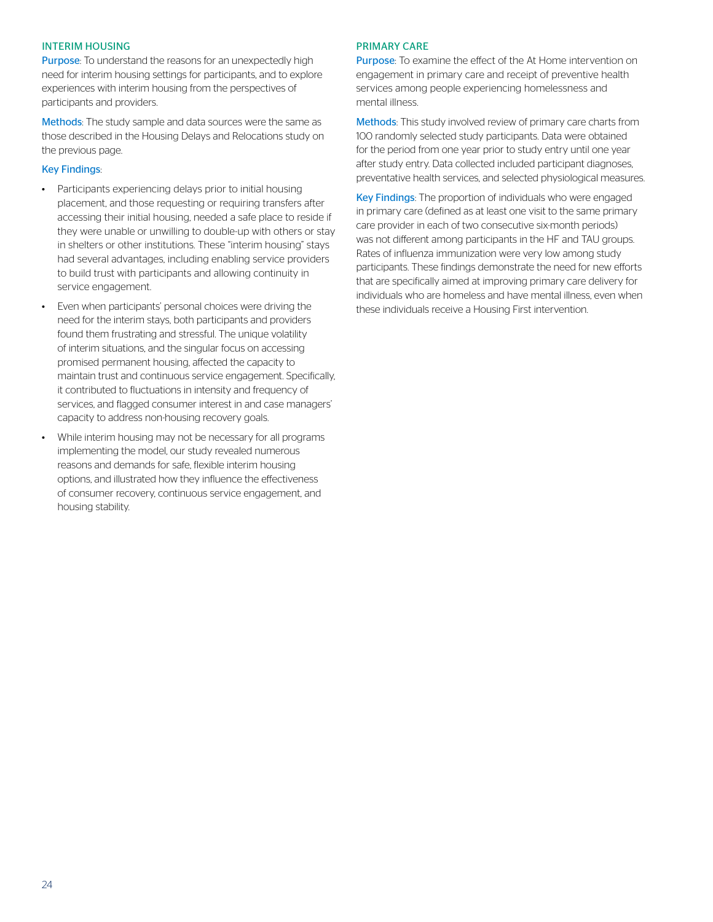#### INTERIM HOUSING

Purpose: To understand the reasons for an unexpectedly high need for interim housing settings for participants, and to explore experiences with interim housing from the perspectives of participants and providers.

Methods: The study sample and data sources were the same as those described in the Housing Delays and Relocations study on the previous page.

#### Key Findings:

- Participants experiencing delays prior to initial housing placement, and those requesting or requiring transfers after accessing their initial housing, needed a safe place to reside if they were unable or unwilling to double-up with others or stay in shelters or other institutions. These "interim housing" stays had several advantages, including enabling service providers to build trust with participants and allowing continuity in service engagement.
- Even when participants' personal choices were driving the need for the interim stays, both participants and providers found them frustrating and stressful. The unique volatility of interim situations, and the singular focus on accessing promised permanent housing, affected the capacity to maintain trust and continuous service engagement. Specifically, it contributed to fluctuations in intensity and frequency of services, and flagged consumer interest in and case managers' capacity to address non-housing recovery goals.
- While interim housing may not be necessary for all programs implementing the model, our study revealed numerous reasons and demands for safe, flexible interim housing options, and illustrated how they influence the effectiveness of consumer recovery, continuous service engagement, and housing stability.

#### PRIMARY CARE

Purpose: To examine the effect of the At Home intervention on engagement in primary care and receipt of preventive health services among people experiencing homelessness and mental illness.

Methods: This study involved review of primary care charts from 100 randomly selected study participants. Data were obtained for the period from one year prior to study entry until one year after study entry. Data collected included participant diagnoses, preventative health services, and selected physiological measures.

Key Findings: The proportion of individuals who were engaged in primary care (defined as at least one visit to the same primary care provider in each of two consecutive six-month periods) was not different among participants in the HF and TAU groups. Rates of influenza immunization were very low among study participants. These findings demonstrate the need for new efforts that are specifically aimed at improving primary care delivery for individuals who are homeless and have mental illness, even when these individuals receive a Housing First intervention.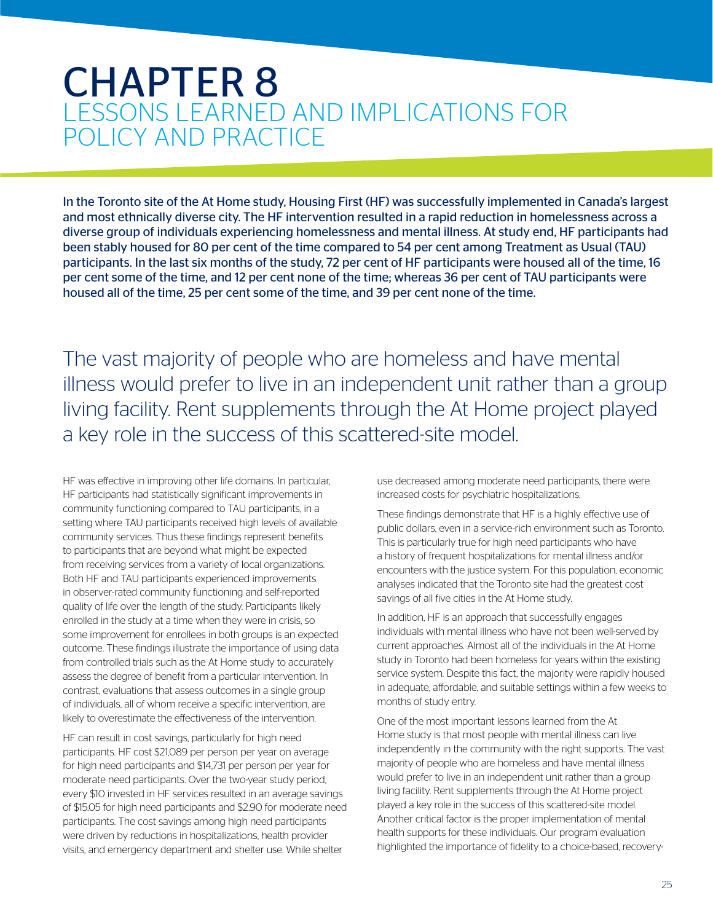### CHAPTER 8 LESSONS LEARNED AND IMPLICATIONS FOR POLICY AND PRACTICE

In the Toronto site of the At Home study, Housing First (HF) was successfully implemented in Canada's largest and most ethnically diverse city. The HF intervention resulted in a rapid reduction in homelessness across a diverse group of individuals experiencing homelessness and mental illness. At study end, HF participants had been stably housed for 80 per cent of the time compared to 54 per cent among Treatment as Usual (TAU) participants. In the last six months of the study, 72 per cent of HF participants were housed all of the time, 16 per cent some of the time, and 12 per cent none of the time; whereas 36 per cent of TAU participants were housed all of the time, 25 per cent some of the time, and 39 per cent none of the time.

The vast majority of people who are homeless and have mental illness would prefer to live in an independent unit rather than a group living facility. Rent supplements through the At Home project played a key role in the success of this scattered-site model.

HF was effective in improving other life domains. In particular, HF participants had statistically significant improvements in community functioning compared to TAU participants, in a setting where TAU participants received high levels of available community services. Thus these findings represent benefits to participants that are beyond what might be expected from receiving services from a variety of local organizations. Both HF and TAU participants experienced improvements in observer-rated community functioning and self-reported quality of life over the length of the study. Participants likely enrolled in the study at a time when they were in crisis, so some improvement for enrollees in both groups is an expected outcome. These findings illustrate the importance of using data from controlled trials such as the At Home study to accurately assess the degree of benefit from a particular intervention. In contrast, evaluations that assess outcomes in a single group of individuals, all of whom receive a specific intervention, are likely to overestimate the effectiveness of the intervention.

HF can result in cost savings, particularly for high need participants. HF cost \$21,089 per person per year on average for high need participants and \$14,731 per person per year for moderate need participants. Over the two-year study period, every \$10 invested in HF services resulted in an average savings of \$15.05 for high need participants and \$2.90 for moderate need participants. The cost savings among high need participants were driven by reductions in hospitalizations, health provider visits, and emergency department and shelter use. While shelter

use decreased among moderate need participants, there were increased costs for psychiatric hospitalizations.

These findings demonstrate that HF is a highly effective use of public dollars, even in a service-rich environment such as Toronto. This is particularly true for high need participants who have a history of frequent hospitalizations for mental illness and/or encounters with the justice system. For this population, economic analyses indicated that the Toronto site had the greatest cost savings of all five cities in the At Home study.

In addition, HF is an approach that successfully engages individuals with mental illness who have not been well-served by current approaches. Almost all of the individuals in the At Home study in Toronto had been homeless for years within the existing service system. Despite this fact, the majority were rapidly housed in adequate, affordable, and suitable settings within a few weeks to months of study entry.

One of the most important lessons learned from the At Home study is that most people with mental illness can live independently in the community with the right supports. The vast majority of people who are homeless and have mental illness would prefer to live in an independent unit rather than a group living facility. Rent supplements through the At Home project played a key role in the success of this scattered-site model. Another critical factor is the proper implementation of mental health supports for these individuals. Our program evaluation highlighted the importance of fidelity to a choice-based, recovery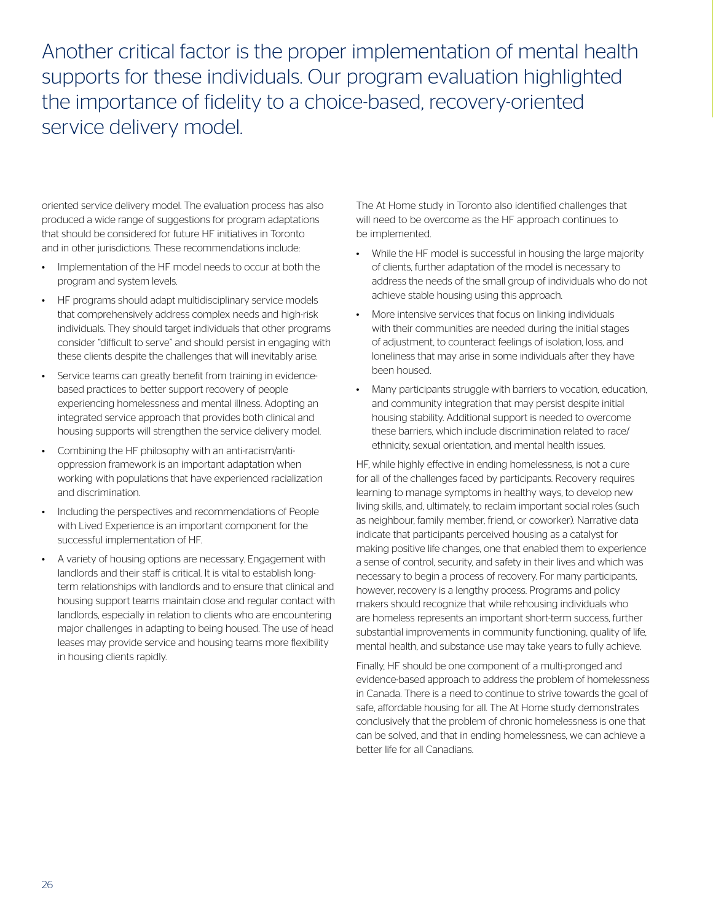Another critical factor is the proper implementation of mental health supports for these individuals. Our program evaluation highlighted the importance of fidelity to a choice-based, recovery-oriented service delivery model.

oriented service delivery model. The evaluation process has also produced a wide range of suggestions for program adaptations that should be considered for future HF initiatives in Toronto and in other jurisdictions. These recommendations include:

- Implementation of the HF model needs to occur at both the program and system levels.
- HF programs should adapt multidisciplinary service models that comprehensively address complex needs and high-risk individuals. They should target individuals that other programs consider "difficult to serve" and should persist in engaging with these clients despite the challenges that will inevitably arise.
- Service teams can greatly benefit from training in evidencebased practices to better support recovery of people experiencing homelessness and mental illness. Adopting an integrated service approach that provides both clinical and housing supports will strengthen the service delivery model.
- Combining the HF philosophy with an anti-racism/antioppression framework is an important adaptation when working with populations that have experienced racialization and discrimination.
- Including the perspectives and recommendations of People with Lived Experience is an important component for the successful implementation of HF.
- A variety of housing options are necessary. Engagement with landlords and their staff is critical. It is vital to establish longterm relationships with landlords and to ensure that clinical and housing support teams maintain close and regular contact with landlords, especially in relation to clients who are encountering major challenges in adapting to being housed. The use of head leases may provide service and housing teams more flexibility in housing clients rapidly.

The At Home study in Toronto also identified challenges that will need to be overcome as the HF approach continues to be implemented.

- While the HF model is successful in housing the large majority of clients, further adaptation of the model is necessary to address the needs of the small group of individuals who do not achieve stable housing using this approach.
- More intensive services that focus on linking individuals with their communities are needed during the initial stages of adjustment, to counteract feelings of isolation, loss, and loneliness that may arise in some individuals after they have been housed.
- Many participants struggle with barriers to vocation, education, and community integration that may persist despite initial housing stability. Additional support is needed to overcome these barriers, which include discrimination related to race/ ethnicity, sexual orientation, and mental health issues.

HF, while highly effective in ending homelessness, is not a cure for all of the challenges faced by participants. Recovery requires learning to manage symptoms in healthy ways, to develop new living skills, and, ultimately, to reclaim important social roles (such as neighbour, family member, friend, or coworker). Narrative data indicate that participants perceived housing as a catalyst for making positive life changes, one that enabled them to experience a sense of control, security, and safety in their lives and which was necessary to begin a process of recovery. For many participants, however, recovery is a lengthy process. Programs and policy makers should recognize that while rehousing individuals who are homeless represents an important short-term success, further substantial improvements in community functioning, quality of life, mental health, and substance use may take years to fully achieve.

Finally, HF should be one component of a multi-pronged and evidence-based approach to address the problem of homelessness in Canada. There is a need to continue to strive towards the goal of safe, affordable housing for all. The At Home study demonstrates conclusively that the problem of chronic homelessness is one that can be solved, and that in ending homelessness, we can achieve a better life for all Canadians.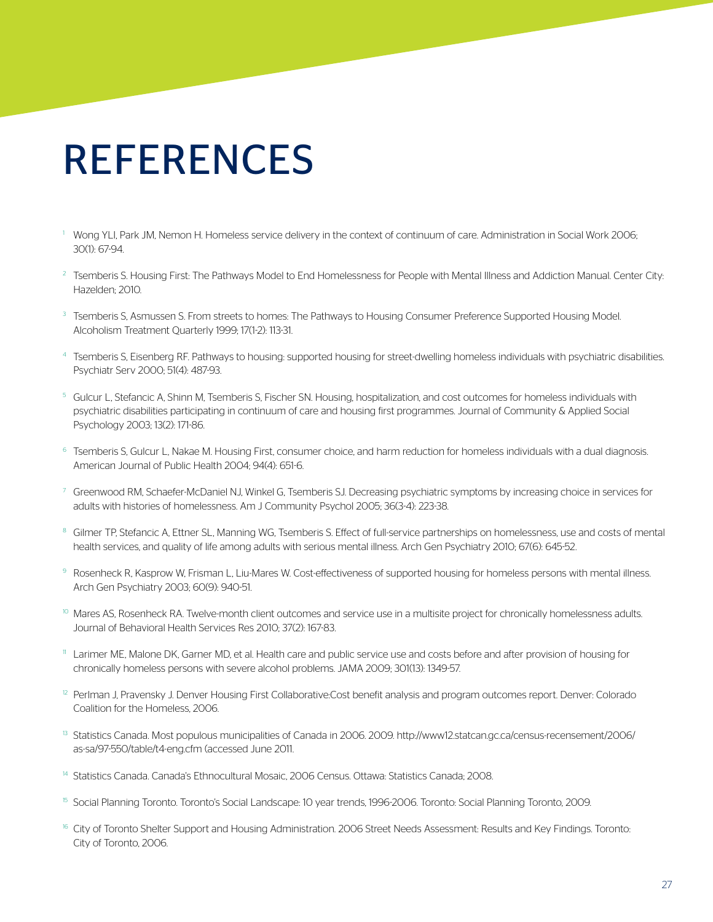# REFERENCES

- <sup>1</sup> Wong YLI, Park JM, Nemon H. Homeless service delivery in the context of continuum of care. Administration in Social Work 2006; 30(1): 67-94.
- <sup>2</sup> Tsemberis S. Housing First: The Pathways Model to End Homelessness for People with Mental Illness and Addiction Manual. Center City: Hazelden; 2010.
- <sup>3</sup> Tsemberis S, Asmussen S. From streets to homes: The Pathways to Housing Consumer Preference Supported Housing Model. Alcoholism Treatment Quarterly 1999; 17(1-2): 113-31.
- 4 Tsemberis S, Eisenberg RF. Pathways to housing: supported housing for street-dwelling homeless individuals with psychiatric disabilities. Psychiatr Serv 2000; 51(4): 487-93.
- <sup>5</sup> Gulcur L, Stefancic A, Shinn M, Tsemberis S, Fischer SN. Housing, hospitalization, and cost outcomes for homeless individuals with psychiatric disabilities participating in continuum of care and housing first programmes. Journal of Community & Applied Social Psychology 2003; 13(2): 171-86.
- <sup>6</sup> Tsemberis S, Gulcur L, Nakae M. Housing First, consumer choice, and harm reduction for homeless individuals with a dual diagnosis. American Journal of Public Health 2004; 94(4): 651-6.
- <sup>7</sup> Greenwood RM, Schaefer-McDaniel NJ, Winkel G, Tsemberis SJ. Decreasing psychiatric symptoms by increasing choice in services for adults with histories of homelessness. Am J Community Psychol 2005; 36(3-4): 223-38.
- <sup>8</sup> Gilmer TP, Stefancic A, Ettner SL, Manning WG, Tsemberis S. Effect of full-service partnerships on homelessness, use and costs of mental health services, and quality of life among adults with serious mental illness. Arch Gen Psychiatry 2010; 67(6): 645-52.
- 9 Rosenheck R, Kasprow W, Frisman L, Liu-Mares W. Cost-effectiveness of supported housing for homeless persons with mental illness. Arch Gen Psychiatry 2003; 60(9): 940-51.
- <sup>10</sup> Mares AS, Rosenheck RA. Twelve-month client outcomes and service use in a multisite project for chronically homelessness adults. Journal of Behavioral Health Services Res 2010; 37(2): 167-83.
- <sup>11</sup> Larimer ME, Malone DK, Garner MD, et al. Health care and public service use and costs before and after provision of housing for chronically homeless persons with severe alcohol problems. JAMA 2009; 301(13): 1349-57.
- $12$  Perlman J, Pravensky J. Denver Housing First Collaborative:Cost benefit analysis and program outcomes report. Denver: Colorado Coalition for the Homeless, 2006.
- <sup>13</sup> Statistics Canada. Most populous municipalities of Canada in 2006. 2009. http://www12.statcan.gc.ca/census-recensement/2006/ as-sa/97-550/table/t4-eng.cfm (accessed June 2011.
- 14 Statistics Canada. Canada's Ethnocultural Mosaic, 2006 Census. Ottawa: Statistics Canada; 2008.
- <sup>15</sup> Social Planning Toronto. Toronto's Social Landscape: 10 year trends, 1996-2006. Toronto: Social Planning Toronto, 2009.
- <sup>16</sup> City of Toronto Shelter Support and Housing Administration. 2006 Street Needs Assessment: Results and Key Findings. Toronto: City of Toronto, 2006.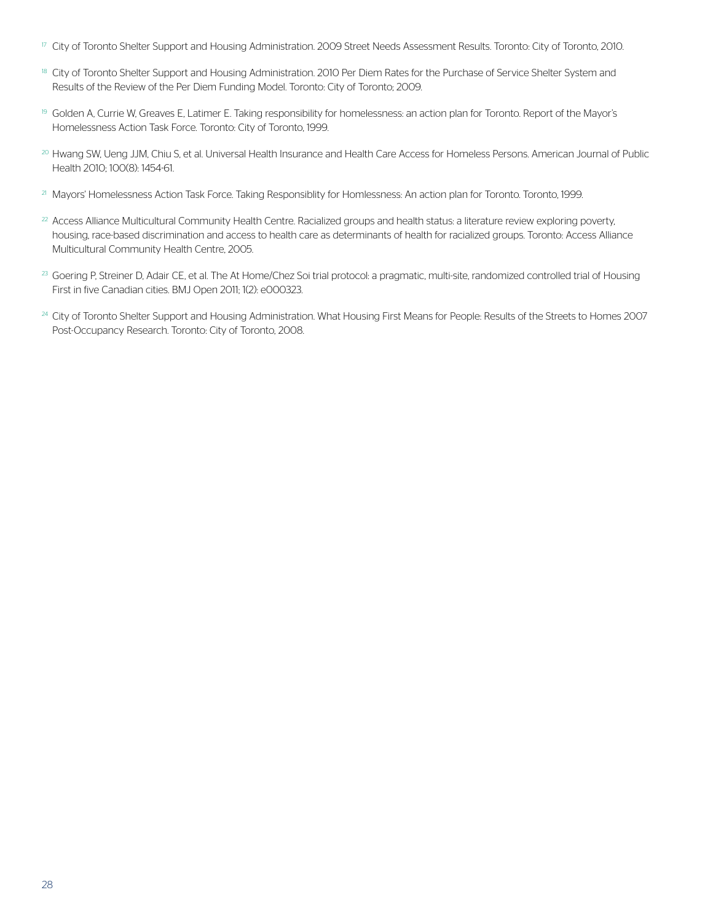- $\overline{17}$  City of Toronto Shelter Support and Housing Administration. 2009 Street Needs Assessment Results. Toronto: City of Toronto, 2010.
- <sup>18</sup> City of Toronto Shelter Support and Housing Administration. 2010 Per Diem Rates for the Purchase of Service Shelter System and Results of the Review of the Per Diem Funding Model. Toronto: City of Toronto; 2009.
- <sup>19</sup> Golden A, Currie W, Greaves E, Latimer E. Taking responsibility for homelessness: an action plan for Toronto. Report of the Mayor's Homelessness Action Task Force. Toronto: City of Toronto, 1999.
- <sup>20</sup> Hwang SW, Ueng JJM, Chiu S, et al. Universal Health Insurance and Health Care Access for Homeless Persons. American Journal of Public Health 2010; 100(8): 1454-61.
- <sup>21</sup> Mayors' Homelessness Action Task Force. Taking Responsiblity for Homlessness: An action plan for Toronto. Toronto, 1999.
- $22$  Access Alliance Multicultural Community Health Centre. Racialized groups and health status: a literature review exploring poverty, housing, race-based discrimination and access to health care as determinants of health for racialized groups. Toronto: Access Alliance Multicultural Community Health Centre, 2005.
- <sup>23</sup> Goering P, Streiner D, Adair CE, et al. The At Home/Chez Soi trial protocol: a pragmatic, multi-site, randomized controlled trial of Housing First in five Canadian cities. BMJ Open 2011; 1(2): e000323.
- <sup>24</sup> City of Toronto Shelter Support and Housing Administration. What Housing First Means for People: Results of the Streets to Homes 2007 Post-Occupancy Research. Toronto: City of Toronto, 2008.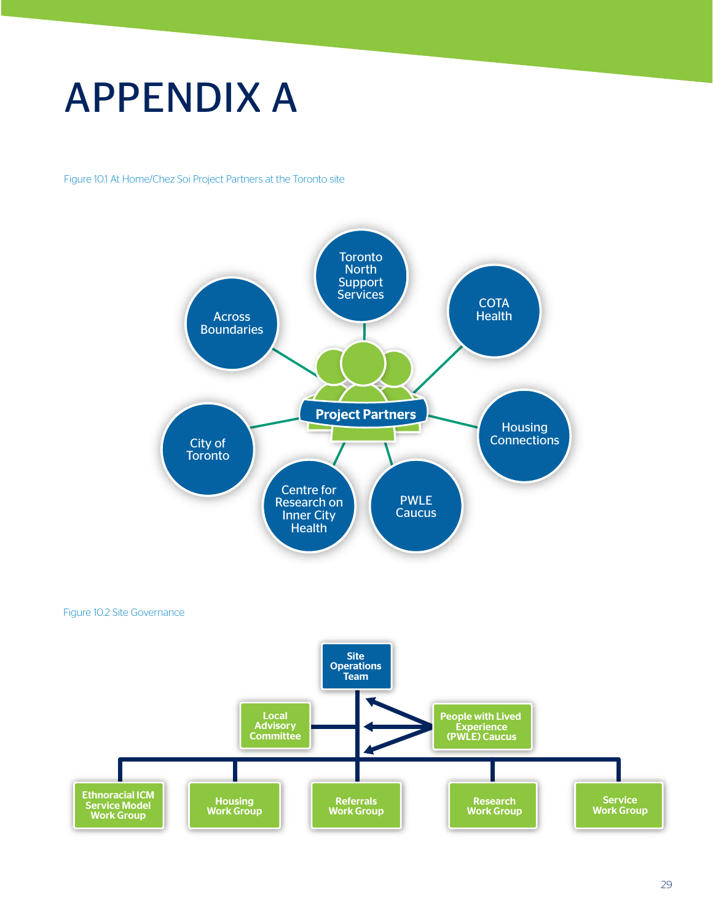# APPENDIX A

Figure 10.1 At Home/Chez Soi Project Partners at the Toronto site



Figure 10.2 Site Governance

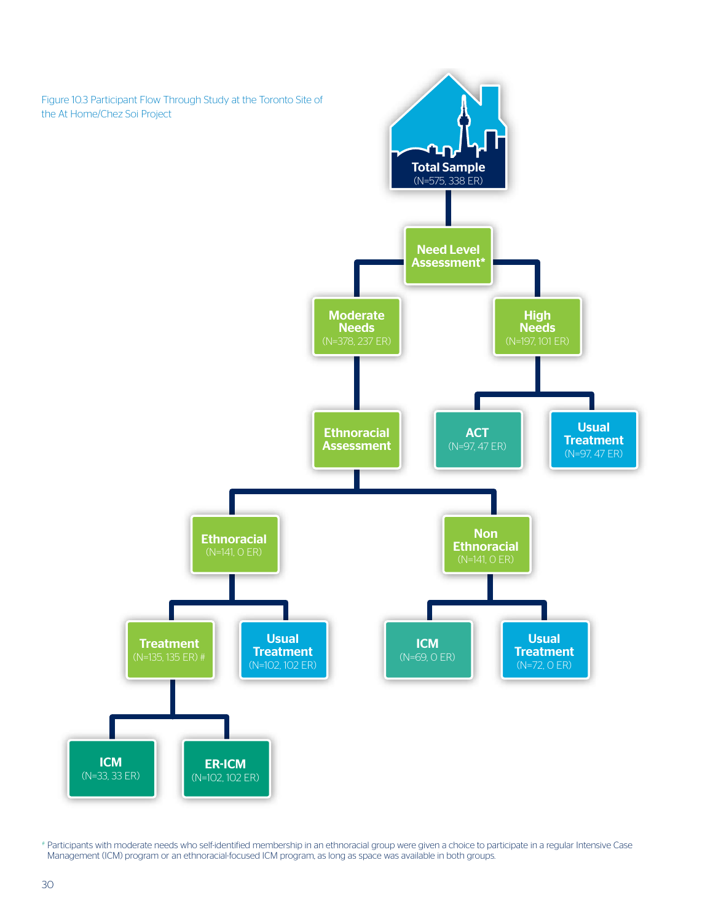

# Participants with moderate needs who self-identified membership in an ethnoracial group were given a choice to participate in a regular Intensive Case Management (ICM) program or an ethnoracial-focused ICM program, as long as space was available in both groups.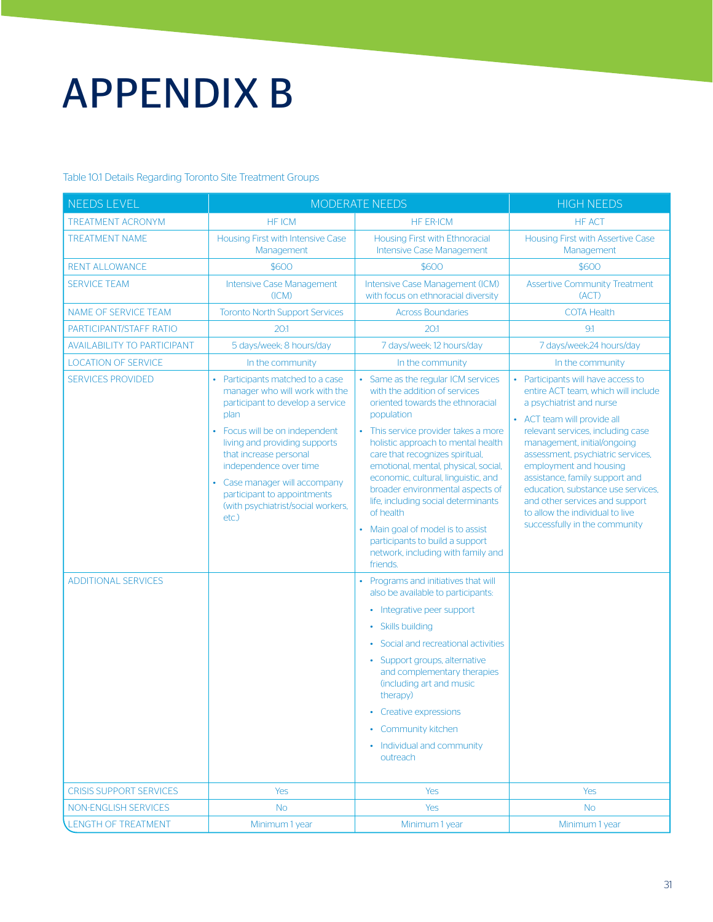# APPENDIX B

Table 10.1 Details Regarding Toronto Site Treatment Groups

| <b>NEEDS LEVEL</b>                                     | <b>MODERATE NEEDS</b>                                                                                                                                                                                                                                                                                                                           |                                                                                                                                                                                                                                                                                                                                                                                                                                                                                                                                                                                                                                                                                                                                                                                                                                                                                                         | <b>HIGH NEEDS</b>                                                                                                                                                                                                                                                                                                                                                                                                                                     |
|--------------------------------------------------------|-------------------------------------------------------------------------------------------------------------------------------------------------------------------------------------------------------------------------------------------------------------------------------------------------------------------------------------------------|---------------------------------------------------------------------------------------------------------------------------------------------------------------------------------------------------------------------------------------------------------------------------------------------------------------------------------------------------------------------------------------------------------------------------------------------------------------------------------------------------------------------------------------------------------------------------------------------------------------------------------------------------------------------------------------------------------------------------------------------------------------------------------------------------------------------------------------------------------------------------------------------------------|-------------------------------------------------------------------------------------------------------------------------------------------------------------------------------------------------------------------------------------------------------------------------------------------------------------------------------------------------------------------------------------------------------------------------------------------------------|
| <b>TREATMENT ACRONYM</b>                               | <b>HF ICM</b>                                                                                                                                                                                                                                                                                                                                   | <b>HF ER-ICM</b>                                                                                                                                                                                                                                                                                                                                                                                                                                                                                                                                                                                                                                                                                                                                                                                                                                                                                        | <b>HF ACT</b>                                                                                                                                                                                                                                                                                                                                                                                                                                         |
| <b>TREATMENT NAME</b>                                  | Housing First with Intensive Case<br>Management                                                                                                                                                                                                                                                                                                 | Housing First with Ethnoracial<br>Intensive Case Management                                                                                                                                                                                                                                                                                                                                                                                                                                                                                                                                                                                                                                                                                                                                                                                                                                             | Housing First with Assertive Case<br>Management                                                                                                                                                                                                                                                                                                                                                                                                       |
| <b>RENT ALLOWANCE</b>                                  | \$600                                                                                                                                                                                                                                                                                                                                           | \$600                                                                                                                                                                                                                                                                                                                                                                                                                                                                                                                                                                                                                                                                                                                                                                                                                                                                                                   | \$600                                                                                                                                                                                                                                                                                                                                                                                                                                                 |
| <b>SERVICE TEAM</b>                                    | Intensive Case Management<br>(ICM)                                                                                                                                                                                                                                                                                                              | Intensive Case Management (ICM)<br>with focus on ethnoracial diversity                                                                                                                                                                                                                                                                                                                                                                                                                                                                                                                                                                                                                                                                                                                                                                                                                                  | <b>Assertive Community Treatment</b><br>(ACT)                                                                                                                                                                                                                                                                                                                                                                                                         |
| NAME OF SERVICE TEAM                                   | <b>Toronto North Support Services</b>                                                                                                                                                                                                                                                                                                           | <b>Across Boundaries</b>                                                                                                                                                                                                                                                                                                                                                                                                                                                                                                                                                                                                                                                                                                                                                                                                                                                                                | <b>COTA Health</b>                                                                                                                                                                                                                                                                                                                                                                                                                                    |
| PARTICIPANT/STAFF RATIO                                | 20.1                                                                                                                                                                                                                                                                                                                                            | 20:1                                                                                                                                                                                                                                                                                                                                                                                                                                                                                                                                                                                                                                                                                                                                                                                                                                                                                                    | 9.1                                                                                                                                                                                                                                                                                                                                                                                                                                                   |
| <b>AVAILABILITY TO PARTICIPANT</b>                     | 5 days/week; 8 hours/day                                                                                                                                                                                                                                                                                                                        | 7 days/week; 12 hours/day                                                                                                                                                                                                                                                                                                                                                                                                                                                                                                                                                                                                                                                                                                                                                                                                                                                                               | 7 days/week;24 hours/day                                                                                                                                                                                                                                                                                                                                                                                                                              |
| <b>LOCATION OF SERVICE</b>                             | In the community                                                                                                                                                                                                                                                                                                                                | In the community                                                                                                                                                                                                                                                                                                                                                                                                                                                                                                                                                                                                                                                                                                                                                                                                                                                                                        | In the community                                                                                                                                                                                                                                                                                                                                                                                                                                      |
| <b>SERVICES PROVIDED</b><br><b>ADDITIONAL SERVICES</b> | Participants matched to a case<br>manager who will work with the<br>participant to develop a service<br>plan<br>• Focus will be on independent<br>living and providing supports<br>that increase personal<br>independence over time<br>Case manager will accompany<br>participant to appointments<br>(with psychiatrist/social workers,<br>etc. | • Same as the regular ICM services<br>with the addition of services<br>oriented towards the ethnoracial<br>population<br>• This service provider takes a more<br>holistic approach to mental health<br>care that recognizes spiritual,<br>emotional, mental, physical, social,<br>economic, cultural, linguistic, and<br>broader environmental aspects of<br>life, including social determinants<br>of health<br>• Main goal of model is to assist<br>participants to build a support<br>network, including with family and<br>friends.<br>• Programs and initiatives that will<br>also be available to participants:<br>• Integrative peer support<br>• Skills building<br>• Social and recreational activities<br>• Support groups, alternative<br>and complementary therapies<br>(including art and music<br>therapy)<br>• Creative expressions<br>• Community kitchen<br>• Individual and community | • Participants will have access to<br>entire ACT team, which will include<br>a psychiatrist and nurse<br>• ACT team will provide all<br>relevant services, including case<br>management, initial/ongoing<br>assessment, psychiatric services,<br>employment and housing<br>assistance, family support and<br>education, substance use services,<br>and other services and support<br>to allow the individual to live<br>successfully in the community |
|                                                        |                                                                                                                                                                                                                                                                                                                                                 | outreach                                                                                                                                                                                                                                                                                                                                                                                                                                                                                                                                                                                                                                                                                                                                                                                                                                                                                                |                                                                                                                                                                                                                                                                                                                                                                                                                                                       |
|                                                        |                                                                                                                                                                                                                                                                                                                                                 |                                                                                                                                                                                                                                                                                                                                                                                                                                                                                                                                                                                                                                                                                                                                                                                                                                                                                                         |                                                                                                                                                                                                                                                                                                                                                                                                                                                       |
| <b>CRISIS SUPPORT SERVICES</b>                         | Yes                                                                                                                                                                                                                                                                                                                                             | <b>Yes</b>                                                                                                                                                                                                                                                                                                                                                                                                                                                                                                                                                                                                                                                                                                                                                                                                                                                                                              | Yes                                                                                                                                                                                                                                                                                                                                                                                                                                                   |
| NON-ENGLISH SERVICES                                   | <b>No</b>                                                                                                                                                                                                                                                                                                                                       | <b>Yes</b>                                                                                                                                                                                                                                                                                                                                                                                                                                                                                                                                                                                                                                                                                                                                                                                                                                                                                              | <b>No</b>                                                                                                                                                                                                                                                                                                                                                                                                                                             |
| LENGTH OF TREATMENT                                    | Minimum 1 year                                                                                                                                                                                                                                                                                                                                  | Minimum 1 year                                                                                                                                                                                                                                                                                                                                                                                                                                                                                                                                                                                                                                                                                                                                                                                                                                                                                          | Minimum 1 year                                                                                                                                                                                                                                                                                                                                                                                                                                        |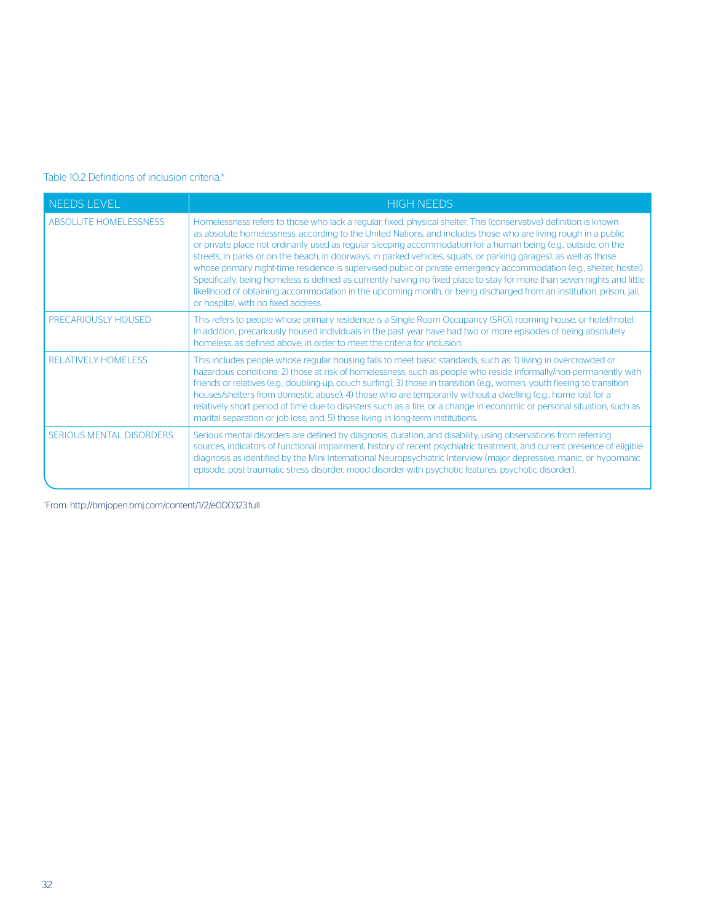#### Table 10.2 Definitions of inclusion criteria.\*

| <b>NEEDS LEVEL</b>              | <b>HIGH NEEDS</b>                                                                                                                                                                                                                                                                                                                                                                                                                                                                                                                                                                                                                                                                                                                                                                                                                                                                            |
|---------------------------------|----------------------------------------------------------------------------------------------------------------------------------------------------------------------------------------------------------------------------------------------------------------------------------------------------------------------------------------------------------------------------------------------------------------------------------------------------------------------------------------------------------------------------------------------------------------------------------------------------------------------------------------------------------------------------------------------------------------------------------------------------------------------------------------------------------------------------------------------------------------------------------------------|
| <b>ABSOLUTE HOMELESSNESS</b>    | Homelessness refers to those who lack a regular, fixed, physical shelter. This (conservative) definition is known<br>as absolute homelessness, according to the United Nations, and includes those who are living rough in a public<br>or private place not ordinarily used as regular sleeping accommodation for a human being (e.g., outside, on the<br>streets, in parks or on the beach, in doorways, in parked vehicles, squats, or parking garages), as well as those<br>whose primary night-time residence is supervised public or private emergency accommodation (e.g., shelter, hostel).<br>Specifically, being homeless is defined as currently having no fixed place to stay for more than seven nights and little<br>likelihood of obtaining accommodation in the upcoming month, or being discharged from an institution, prison, jail,<br>or hospital, with no fixed address. |
| <b>PRECARIOUSLY HOUSED</b>      | This refers to people whose primary residence is a Single Room Occupancy (SRO), rooming house, or hotel/motel.<br>In addition, precariously housed individuals in the past year have had two or more episodes of being absolutely<br>homeless, as defined above, in order to meet the criteria for inclusion.                                                                                                                                                                                                                                                                                                                                                                                                                                                                                                                                                                                |
| <b>RELATIVELY HOMELESS</b>      | This includes people whose regular housing fails to meet basic standards, such as: 1) living in overcrowded or<br>hazardous conditions; 2) those at risk of homelessness, such as people who reside informally/non-permanently with<br>friends or relatives (e.g., doubling-up, couch surfing); 3) those in transition (e.g., women, youth fleeing to transition<br>houses/shelters from domestic abuse); 4) those who are temporarily without a dwelling (e.g., home lost for a<br>relatively short period of time due to disasters such as a fire, or a change in economic or personal situation, such as<br>marital separation or job loss; and, 5) those living in long-term institutions.                                                                                                                                                                                               |
| <b>SERIOUS MENTAL DISORDERS</b> | Serious mental disorders are defined by diagnosis, duration, and disability, using observations from referring<br>sources, indicators of functional impairment, history of recent psychiatric treatment, and current presence of eligible<br>diagnosis as identified by the Mini International Neuropsychiatric Interview (major depressive, manic, or hypomanic<br>episode, post-traumatic stress disorder, mood disorder with psychotic features, psychotic disorder).                                                                                                                                                                                                                                                                                                                                                                                                                     |

\* From: http://bmjopen.bmj.com/content/1/2/e000323.full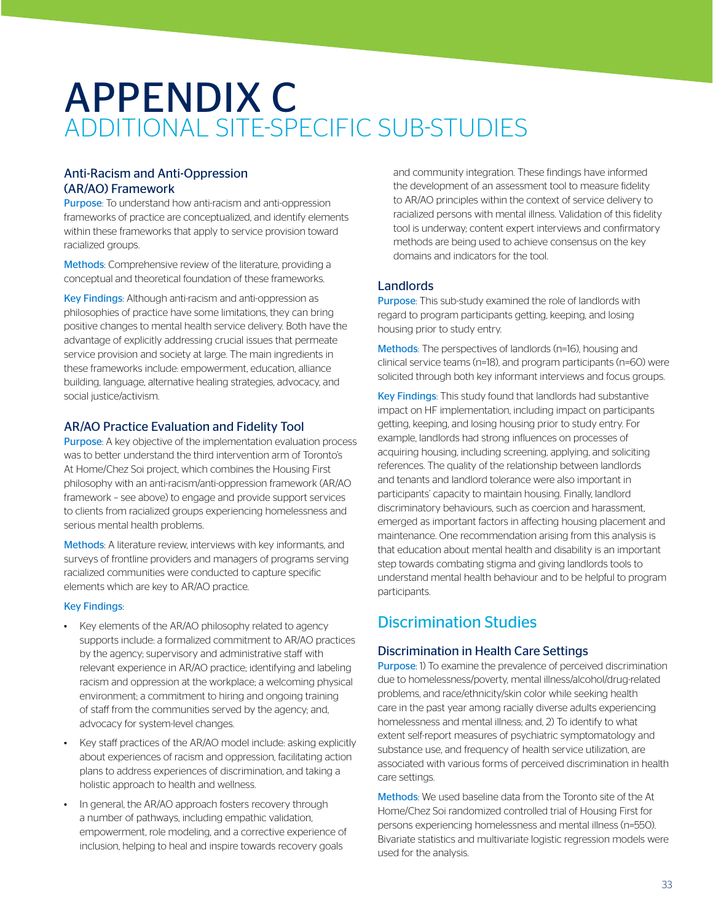## APPENDIX C ADDITIONAL SITE-SPECIFIC SUB-STUDIES

#### Anti-Racism and Anti-Oppression (AR/AO) Framework

Purpose: To understand how anti-racism and anti-oppression frameworks of practice are conceptualized, and identify elements within these frameworks that apply to service provision toward racialized groups.

Methods: Comprehensive review of the literature, providing a conceptual and theoretical foundation of these frameworks.

Key Findings: Although anti-racism and anti-oppression as philosophies of practice have some limitations, they can bring positive changes to mental health service delivery. Both have the advantage of explicitly addressing crucial issues that permeate service provision and society at large. The main ingredients in these frameworks include: empowerment, education, alliance building, language, alternative healing strategies, advocacy, and social justice/activism.

#### AR/AO Practice Evaluation and Fidelity Tool

Purpose: A key objective of the implementation evaluation process was to better understand the third intervention arm of Toronto's At Home/Chez Soi project, which combines the Housing First philosophy with an anti-racism/anti-oppression framework (AR/AO framework – see above) to engage and provide support services to clients from racialized groups experiencing homelessness and serious mental health problems.

Methods: A literature review, interviews with key informants, and surveys of frontline providers and managers of programs serving racialized communities were conducted to capture specific elements which are key to AR/AO practice.

#### Key Findings:

- Key elements of the AR/AO philosophy related to agency supports include: a formalized commitment to AR/AO practices by the agency; supervisory and administrative staff with relevant experience in AR/AO practice; identifying and labeling racism and oppression at the workplace; a welcoming physical environment; a commitment to hiring and ongoing training of staff from the communities served by the agency; and, advocacy for system-level changes.
- Key staff practices of the AR/AO model include: asking explicitly about experiences of racism and oppression, facilitating action plans to address experiences of discrimination, and taking a holistic approach to health and wellness.
- In general, the AR/AO approach fosters recovery through a number of pathways, including empathic validation, empowerment, role modeling, and a corrective experience of inclusion, helping to heal and inspire towards recovery goals

and community integration. These findings have informed the development of an assessment tool to measure fidelity to AR/AO principles within the context of service delivery to racialized persons with mental illness. Validation of this fidelity tool is underway; content expert interviews and confirmatory methods are being used to achieve consensus on the key domains and indicators for the tool.

#### Landlords

Purpose: This sub-study examined the role of landlords with regard to program participants getting, keeping, and losing housing prior to study entry.

Methods: The perspectives of landlords (n=16), housing and clinical service teams (n=18), and program participants (n=60) were solicited through both key informant interviews and focus groups.

Key Findings: This study found that landlords had substantive impact on HF implementation, including impact on participants getting, keeping, and losing housing prior to study entry. For example, landlords had strong influences on processes of acquiring housing, including screening, applying, and soliciting references. The quality of the relationship between landlords and tenants and landlord tolerance were also important in participants' capacity to maintain housing. Finally, landlord discriminatory behaviours, such as coercion and harassment, emerged as important factors in affecting housing placement and maintenance. One recommendation arising from this analysis is that education about mental health and disability is an important step towards combating stigma and giving landlords tools to understand mental health behaviour and to be helpful to program participants.

### Discrimination Studies

#### Discrimination in Health Care Settings

Purpose: 1) To examine the prevalence of perceived discrimination due to homelessness/poverty, mental illness/alcohol/drug-related problems, and race/ethnicity/skin color while seeking health care in the past year among racially diverse adults experiencing homelessness and mental illness; and, 2) To identify to what extent self-report measures of psychiatric symptomatology and substance use, and frequency of health service utilization, are associated with various forms of perceived discrimination in health care settings.

Methods: We used baseline data from the Toronto site of the At Home/Chez Soi randomized controlled trial of Housing First for persons experiencing homelessness and mental illness (n=550). Bivariate statistics and multivariate logistic regression models were used for the analysis.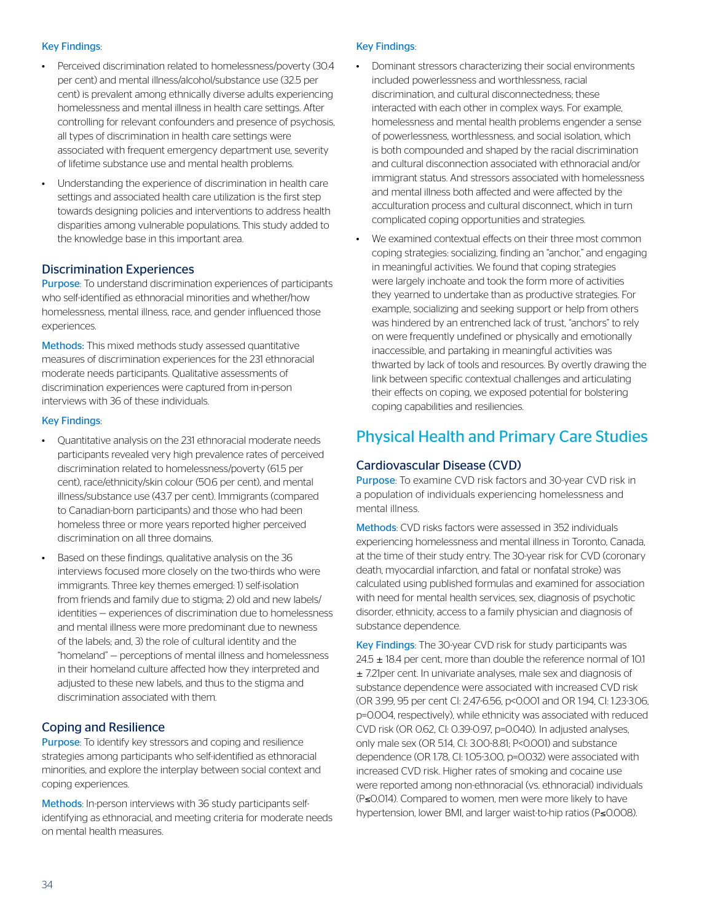#### Key Findings:

- Perceived discrimination related to homelessness/poverty (30.4 per cent) and mental illness/alcohol/substance use (32.5 per cent) is prevalent among ethnically diverse adults experiencing homelessness and mental illness in health care settings. After controlling for relevant confounders and presence of psychosis, all types of discrimination in health care settings were associated with frequent emergency department use, severity of lifetime substance use and mental health problems.
- Understanding the experience of discrimination in health care settings and associated health care utilization is the first step towards designing policies and interventions to address health disparities among vulnerable populations. This study added to the knowledge base in this important area.

#### Discrimination Experiences

Purpose: To understand discrimination experiences of participants who self-identified as ethnoracial minorities and whether/how homelessness, mental illness, race, and gender influenced those experiences.

Methods: This mixed methods study assessed quantitative measures of discrimination experiences for the 231 ethnoracial moderate needs participants. Qualitative assessments of discrimination experiences were captured from in-person interviews with 36 of these individuals.

#### Key Findings:

- Quantitative analysis on the 231 ethnoracial moderate needs participants revealed very high prevalence rates of perceived discrimination related to homelessness/poverty (61.5 per cent), race/ethnicity/skin colour (50.6 per cent), and mental illness/substance use (43.7 per cent). Immigrants (compared to Canadian-born participants) and those who had been homeless three or more years reported higher perceived discrimination on all three domains.
- Based on these findings, qualitative analysis on the 36 interviews focused more closely on the two-thirds who were immigrants. Three key themes emerged: 1) self-isolation from friends and family due to stigma; 2) old and new labels/ identities — experiences of discrimination due to homelessness and mental illness were more predominant due to newness of the labels; and, 3) the role of cultural identity and the "homeland" — perceptions of mental illness and homelessness in their homeland culture affected how they interpreted and adjusted to these new labels, and thus to the stigma and discrimination associated with them.

#### Coping and Resilience

Purpose: To identify key stressors and coping and resilience strategies among participants who self-identified as ethnoracial minorities, and explore the interplay between social context and coping experiences.

Methods: In-person interviews with 36 study participants selfidentifying as ethnoracial, and meeting criteria for moderate needs on mental health measures.

#### Key Findings:

- Dominant stressors characterizing their social environments included powerlessness and worthlessness, racial discrimination, and cultural disconnectedness; these interacted with each other in complex ways. For example, homelessness and mental health problems engender a sense of powerlessness, worthlessness, and social isolation, which is both compounded and shaped by the racial discrimination and cultural disconnection associated with ethnoracial and/or immigrant status. And stressors associated with homelessness and mental illness both affected and were affected by the acculturation process and cultural disconnect, which in turn complicated coping opportunities and strategies.
- We examined contextual effects on their three most common coping strategies: socializing, finding an "anchor," and engaging in meaningful activities. We found that coping strategies were largely inchoate and took the form more of activities they yearned to undertake than as productive strategies. For example, socializing and seeking support or help from others was hindered by an entrenched lack of trust, "anchors" to rely on were frequently undefined or physically and emotionally inaccessible, and partaking in meaningful activities was thwarted by lack of tools and resources. By overtly drawing the link between specific contextual challenges and articulating their effects on coping, we exposed potential for bolstering coping capabilities and resiliencies.

#### Physical Health and Primary Care Studies

#### Cardiovascular Disease (CVD)

Purpose: To examine CVD risk factors and 30-year CVD risk in a population of individuals experiencing homelessness and mental illness.

Methods: CVD risks factors were assessed in 352 individuals experiencing homelessness and mental illness in Toronto, Canada, at the time of their study entry. The 30-year risk for CVD (coronary death, myocardial infarction, and fatal or nonfatal stroke) was calculated using published formulas and examined for association with need for mental health services, sex, diagnosis of psychotic disorder, ethnicity, access to a family physician and diagnosis of substance dependence.

Key Findings: The 30-year CVD risk for study participants was  $24.5 \pm 18.4$  per cent, more than double the reference normal of 10.1 ± 7.21per cent. In univariate analyses, male sex and diagnosis of substance dependence were associated with increased CVD risk (OR 3.99, 95 per cent CI: 2.47-6.56, p<0.001 and OR 1.94, CI: 1.23-3.06, p=0.004, respectively), while ethnicity was associated with reduced CVD risk (OR 0.62, CI: 0.39-0.97, p=0.040). In adjusted analyses, only male sex (OR 5.14, CI: 3.00-8.81; P<0.001) and substance dependence (OR 1.78, CI: 1.05-3.00, p=0.032) were associated with increased CVD risk. Higher rates of smoking and cocaine use were reported among non-ethnoracial (vs. ethnoracial) individuals (P≤0.014). Compared to women, men were more likely to have hypertension, lower BMI, and larger waist-to-hip ratios (P≤0.008).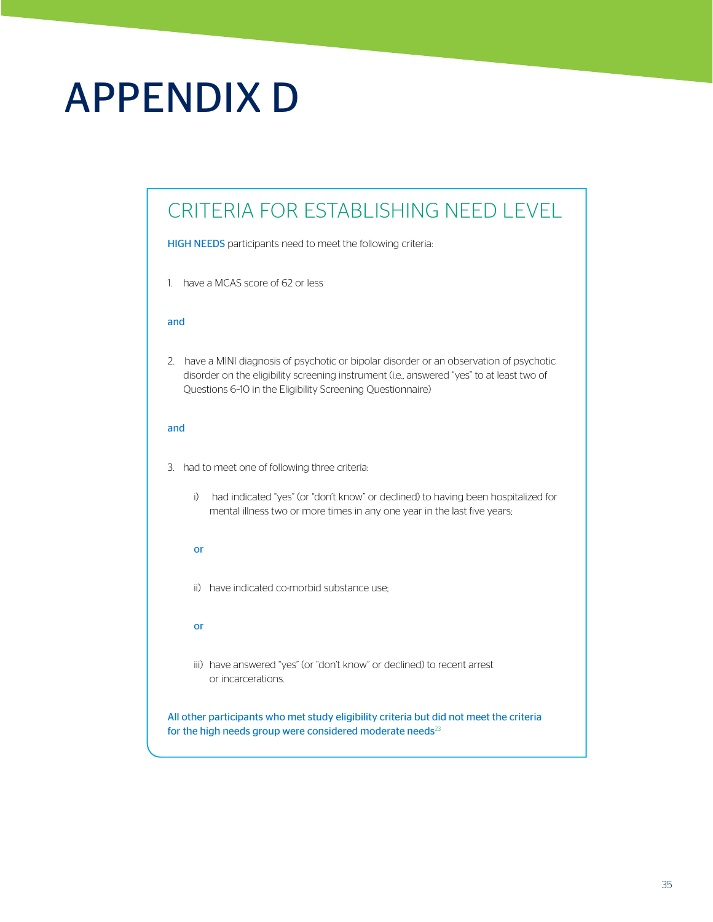# APPENDIX D

### CRITERIA FOR ESTABLISHING NEED LEVEL

HIGH NEEDS participants need to meet the following criteria:

1. have a MCAS score of 62 or less

#### and

2. have a MINI diagnosis of psychotic or bipolar disorder or an observation of psychotic disorder on the eligibility screening instrument (i.e., answered "yes" to at least two of Questions 6–10 in the Eligibility Screening Questionnaire)

#### and

- 3. had to meet one of following three criteria:
	- i) had indicated "yes" (or "don't know" or declined) to having been hospitalized for mental illness two or more times in any one year in the last five years;

#### or

ii) have indicated co-morbid substance use;

#### or

iii) have answered "yes" (or "don't know" or declined) to recent arrest or incarcerations.

All other participants who met study eligibility criteria but did not meet the criteria for the high needs group were considered moderate needs $^{23}$